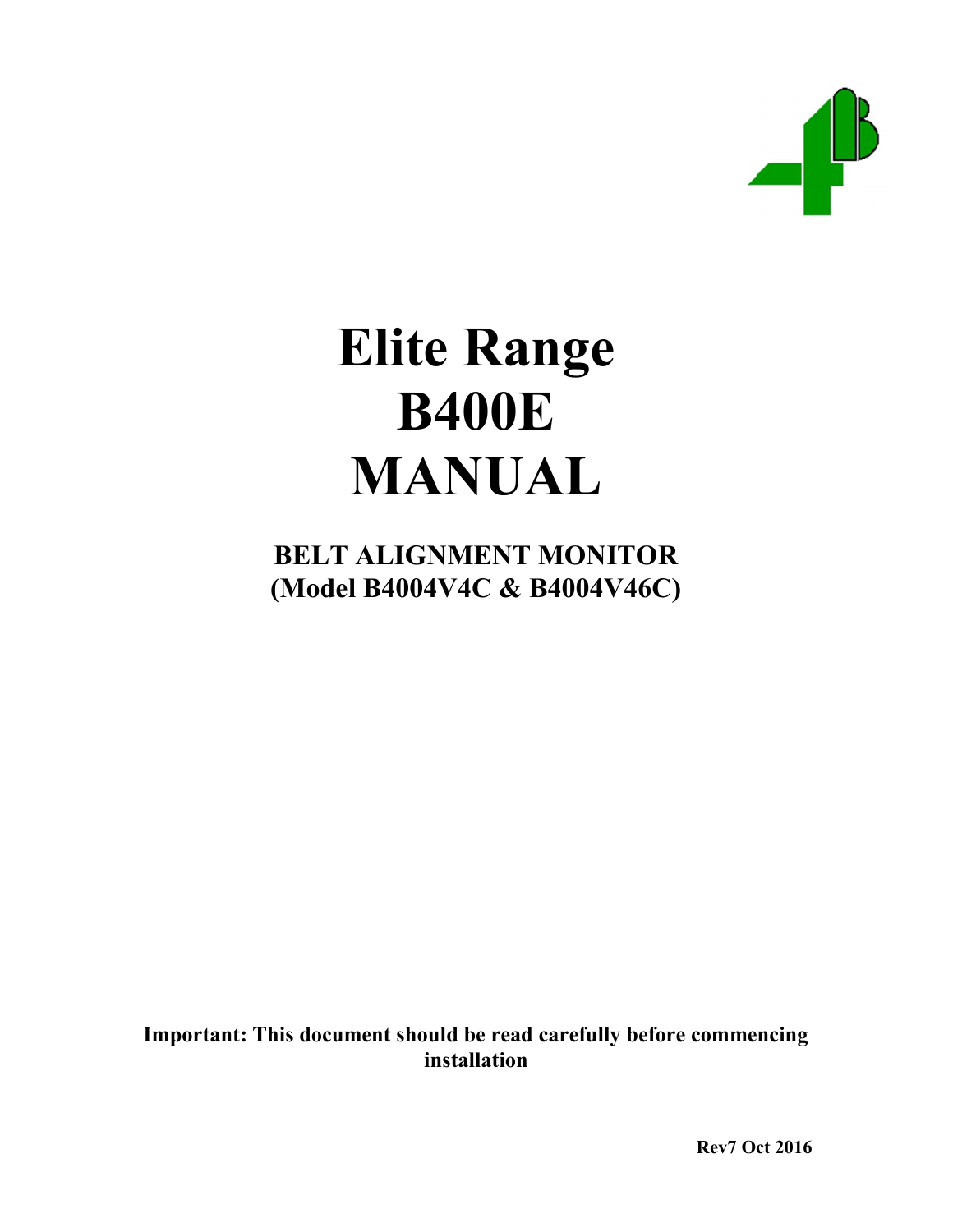

# Elite Range B400E MANUAL

# BELT ALIGNMENT MONITOR (Model B4004V4C & B4004V46C)

Important: This document should be read carefully before commencing installation

Rev7 Oct 2016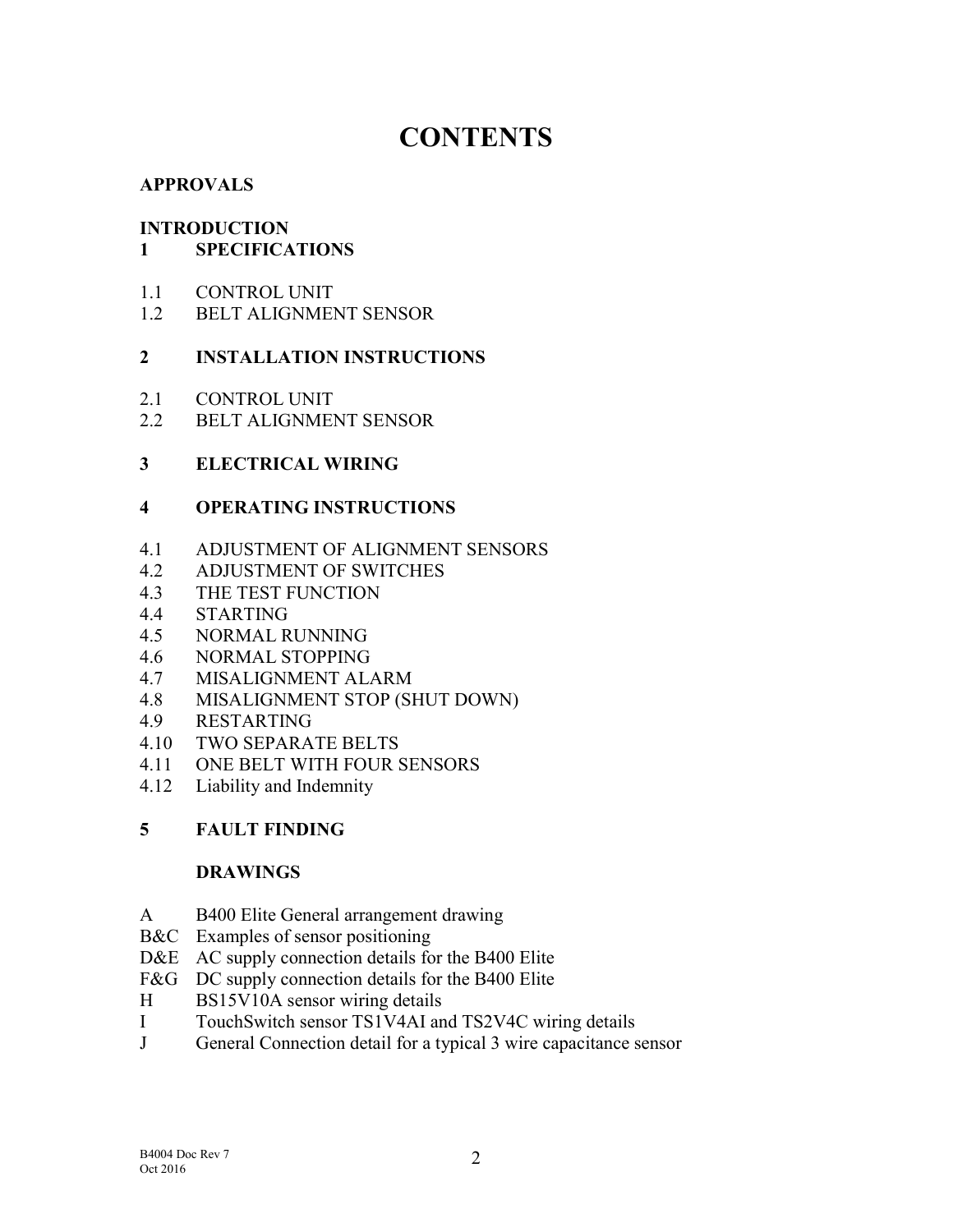# **CONTENTS**

### APPROVALS

### INTRODUCTION

### 1 SPECIFICATIONS

- 1.1 CONTROL UNIT
- 1.2 BELT ALIGNMENT SENSOR

### 2 INSTALLATION INSTRUCTIONS

- 2.1 CONTROL UNIT
- 2.2 BELT ALIGNMENT SENSOR

### 3 ELECTRICAL WIRING

### 4 OPERATING INSTRUCTIONS

- 4.1 ADJUSTMENT OF ALIGNMENT SENSORS
- 4.2 ADJUSTMENT OF SWITCHES
- 4.3 THE TEST FUNCTION
- 4.4 STARTING
- 4.5 NORMAL RUNNING
- 4.6 NORMAL STOPPING
- 4.7 MISALIGNMENT ALARM
- 4.8 MISALIGNMENT STOP (SHUT DOWN)
- 4.9 RESTARTING
- 4.10 TWO SEPARATE BELTS
- 4.11 ONE BELT WITH FOUR SENSORS
- 4.12 Liability and Indemnity

### 5 FAULT FINDING

### DRAWINGS

- A B400 Elite General arrangement drawing
- B&C Examples of sensor positioning
- D&E AC supply connection details for the B400 Elite
- F&G DC supply connection details for the B400 Elite
- H BS15V10A sensor wiring details
- I TouchSwitch sensor TS1V4AI and TS2V4C wiring details
- J General Connection detail for a typical 3 wire capacitance sensor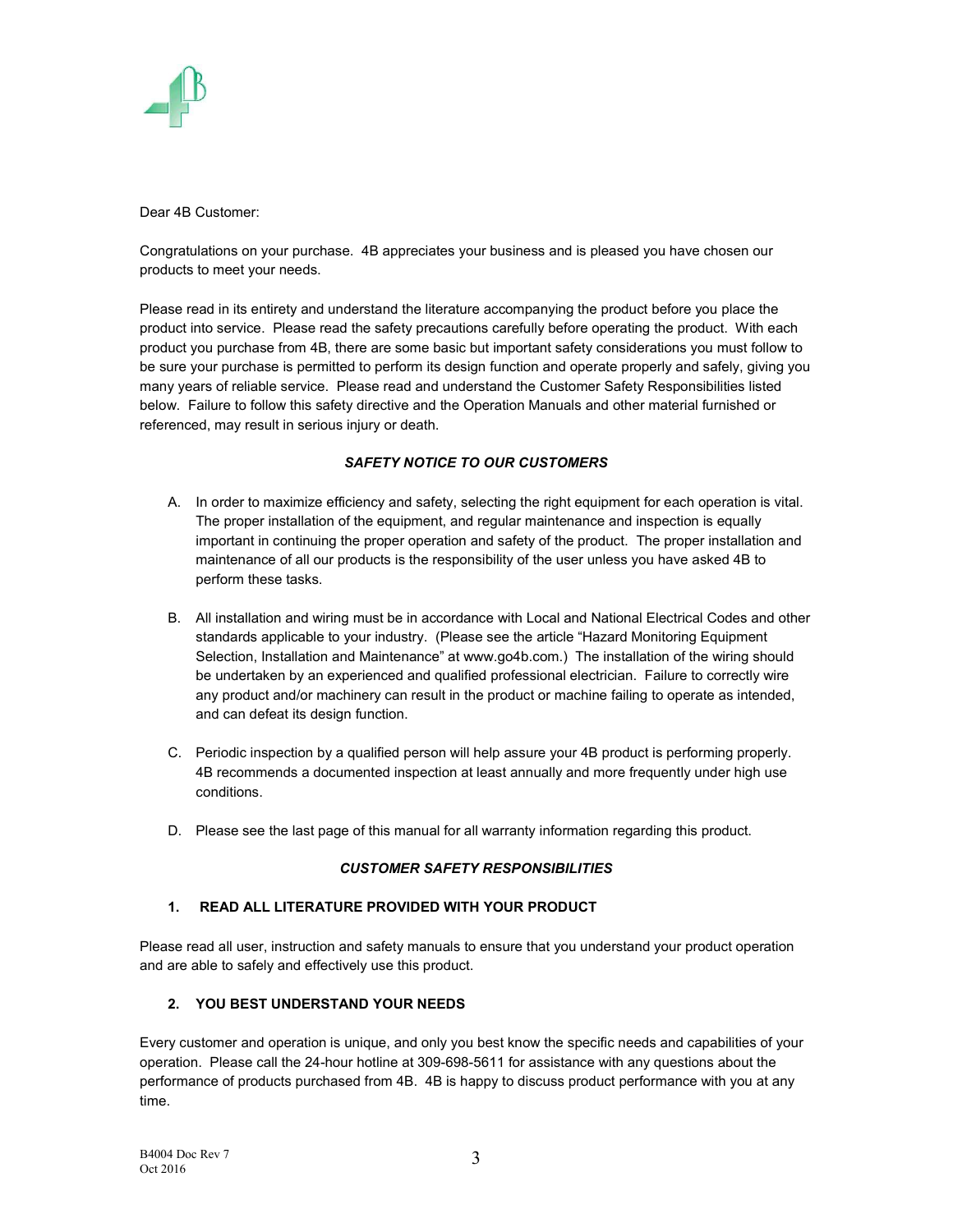

Dear 4B Customer:

Congratulations on your purchase. 4B appreciates your business and is pleased you have chosen our products to meet your needs.

Please read in its entirety and understand the literature accompanying the product before you place the product into service. Please read the safety precautions carefully before operating the product. With each product you purchase from 4B, there are some basic but important safety considerations you must follow to be sure your purchase is permitted to perform its design function and operate properly and safely, giving you many years of reliable service. Please read and understand the Customer Safety Responsibilities listed below. Failure to follow this safety directive and the Operation Manuals and other material furnished or referenced, may result in serious injury or death.

### SAFETY NOTICE TO OUR CUSTOMERS

- A. In order to maximize efficiency and safety, selecting the right equipment for each operation is vital. The proper installation of the equipment, and regular maintenance and inspection is equally important in continuing the proper operation and safety of the product. The proper installation and maintenance of all our products is the responsibility of the user unless you have asked 4B to perform these tasks.
- B. All installation and wiring must be in accordance with Local and National Electrical Codes and other standards applicable to your industry. (Please see the article "Hazard Monitoring Equipment Selection, Installation and Maintenance" at www.go4b.com.) The installation of the wiring should be undertaken by an experienced and qualified professional electrician. Failure to correctly wire any product and/or machinery can result in the product or machine failing to operate as intended, and can defeat its design function.
- C. Periodic inspection by a qualified person will help assure your 4B product is performing properly. 4B recommends a documented inspection at least annually and more frequently under high use conditions.
- D. Please see the last page of this manual for all warranty information regarding this product.

### CUSTOMER SAFETY RESPONSIBILITIES

### 1. READ ALL LITERATURE PROVIDED WITH YOUR PRODUCT

Please read all user, instruction and safety manuals to ensure that you understand your product operation and are able to safely and effectively use this product.

### 2. YOU BEST UNDERSTAND YOUR NEEDS

Every customer and operation is unique, and only you best know the specific needs and capabilities of your operation. Please call the 24-hour hotline at 309-698-5611 for assistance with any questions about the performance of products purchased from 4B. 4B is happy to discuss product performance with you at any time.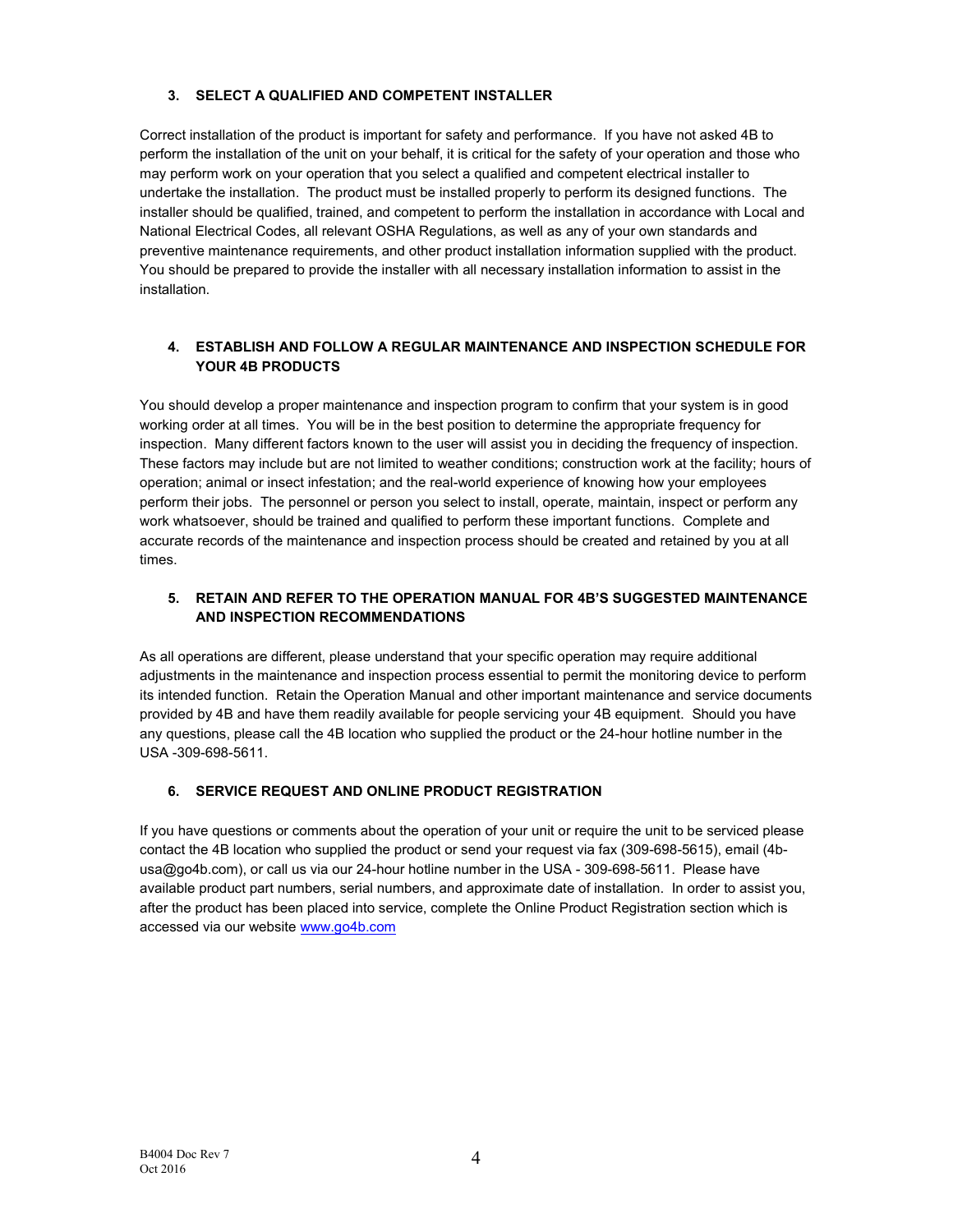### 3. SELECT A QUALIFIED AND COMPETENT INSTALLER

Correct installation of the product is important for safety and performance. If you have not asked 4B to perform the installation of the unit on your behalf, it is critical for the safety of your operation and those who may perform work on your operation that you select a qualified and competent electrical installer to undertake the installation. The product must be installed properly to perform its designed functions. The installer should be qualified, trained, and competent to perform the installation in accordance with Local and National Electrical Codes, all relevant OSHA Regulations, as well as any of your own standards and preventive maintenance requirements, and other product installation information supplied with the product. You should be prepared to provide the installer with all necessary installation information to assist in the installation.

### 4. ESTABLISH AND FOLLOW A REGULAR MAINTENANCE AND INSPECTION SCHEDULE FOR YOUR 4B PRODUCTS

You should develop a proper maintenance and inspection program to confirm that your system is in good working order at all times. You will be in the best position to determine the appropriate frequency for inspection. Many different factors known to the user will assist you in deciding the frequency of inspection. These factors may include but are not limited to weather conditions; construction work at the facility; hours of operation; animal or insect infestation; and the real-world experience of knowing how your employees perform their jobs. The personnel or person you select to install, operate, maintain, inspect or perform any work whatsoever, should be trained and qualified to perform these important functions. Complete and accurate records of the maintenance and inspection process should be created and retained by you at all times.

### 5. RETAIN AND REFER TO THE OPERATION MANUAL FOR 4B'S SUGGESTED MAINTENANCE AND INSPECTION RECOMMENDATIONS

As all operations are different, please understand that your specific operation may require additional adjustments in the maintenance and inspection process essential to permit the monitoring device to perform its intended function. Retain the Operation Manual and other important maintenance and service documents provided by 4B and have them readily available for people servicing your 4B equipment. Should you have any questions, please call the 4B location who supplied the product or the 24-hour hotline number in the USA -309-698-5611.

### 6. SERVICE REQUEST AND ONLINE PRODUCT REGISTRATION

If you have questions or comments about the operation of your unit or require the unit to be serviced please contact the 4B location who supplied the product or send your request via fax (309-698-5615), email (4busa@go4b.com), or call us via our 24-hour hotline number in the USA - 309-698-5611. Please have available product part numbers, serial numbers, and approximate date of installation. In order to assist you, after the product has been placed into service, complete the Online Product Registration section which is accessed via our website www.go4b.com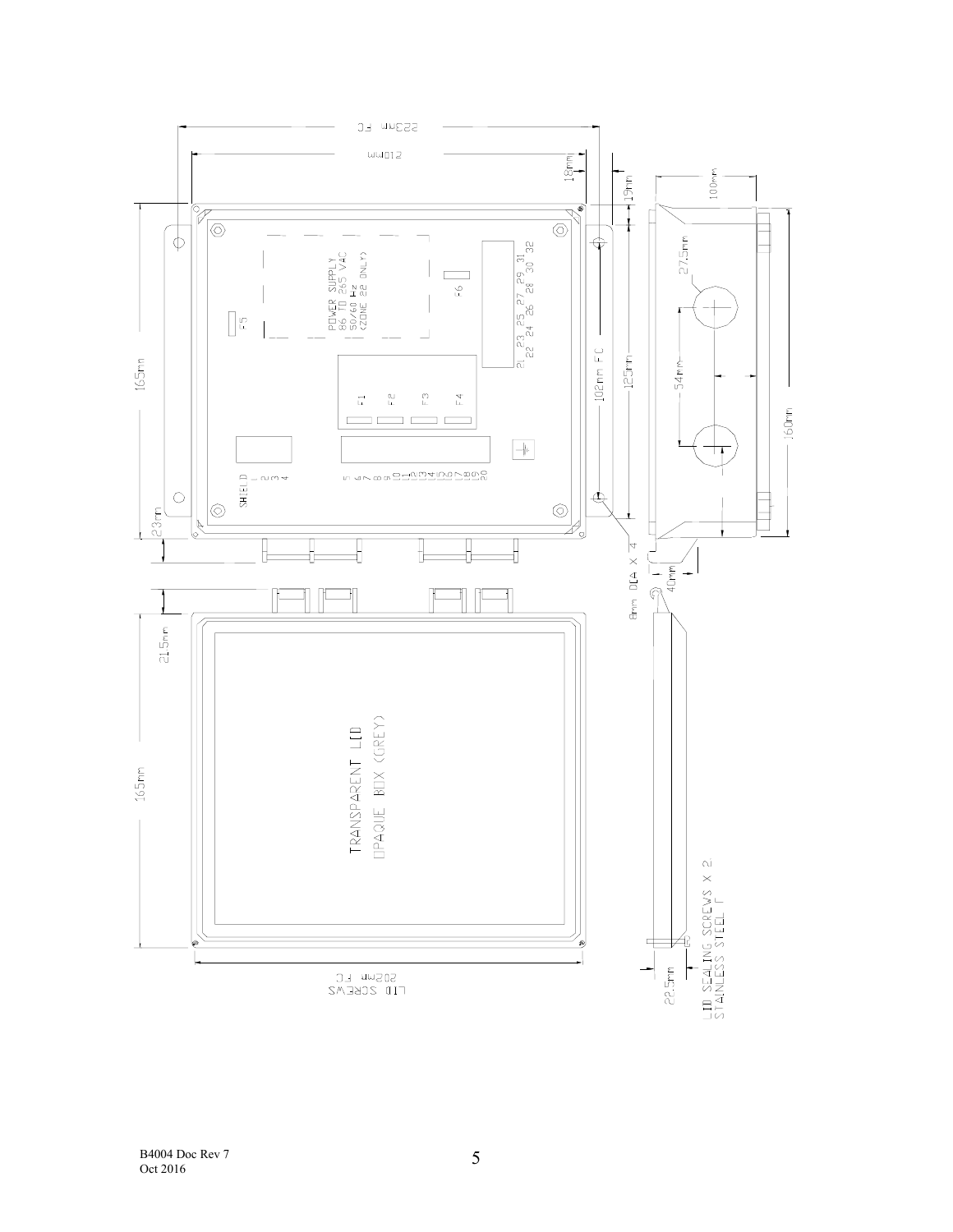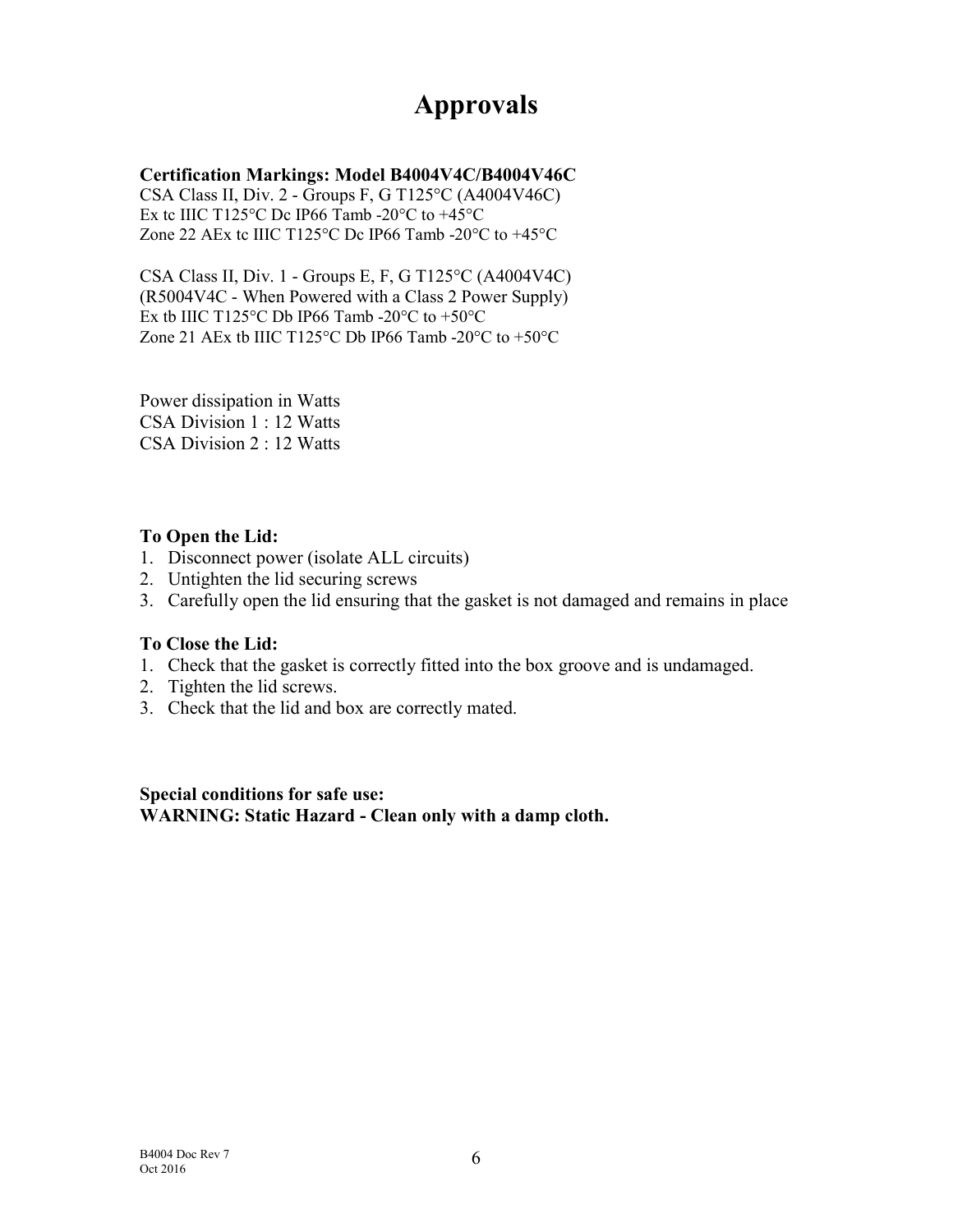# Approvals

### Certification Markings: Model B4004V4C/B4004V46C

CSA Class II, Div. 2 - Groups F, G T125°C (A4004V46C) Ex tc IIIC T125 $\degree$ C Dc IP66 Tamb -20 $\degree$ C to +45 $\degree$ C Zone 22 AEx tc IIIC T125 °C Dc IP66 Tamb -20 °C to  $+45$  °C

CSA Class II, Div. 1 - Groups E, F, G T125°C (A4004V4C) (R5004V4C - When Powered with a Class 2 Power Supply) Ex tb IIIC T125°C Db IP66 Tamb -20°C to +50°C Zone 21 AEx tb IIIC T125 °C Db IP66 Tamb -20 °C to +50 °C

Power dissipation in Watts CSA Division 1 : 12 Watts CSA Division 2 : 12 Watts

### To Open the Lid:

- 1. Disconnect power (isolate ALL circuits)
- 2. Untighten the lid securing screws
- 3. Carefully open the lid ensuring that the gasket is not damaged and remains in place

### To Close the Lid:

- 1. Check that the gasket is correctly fitted into the box groove and is undamaged.
- 2. Tighten the lid screws.
- 3. Check that the lid and box are correctly mated.

Special conditions for safe use: WARNING: Static Hazard - Clean only with a damp cloth.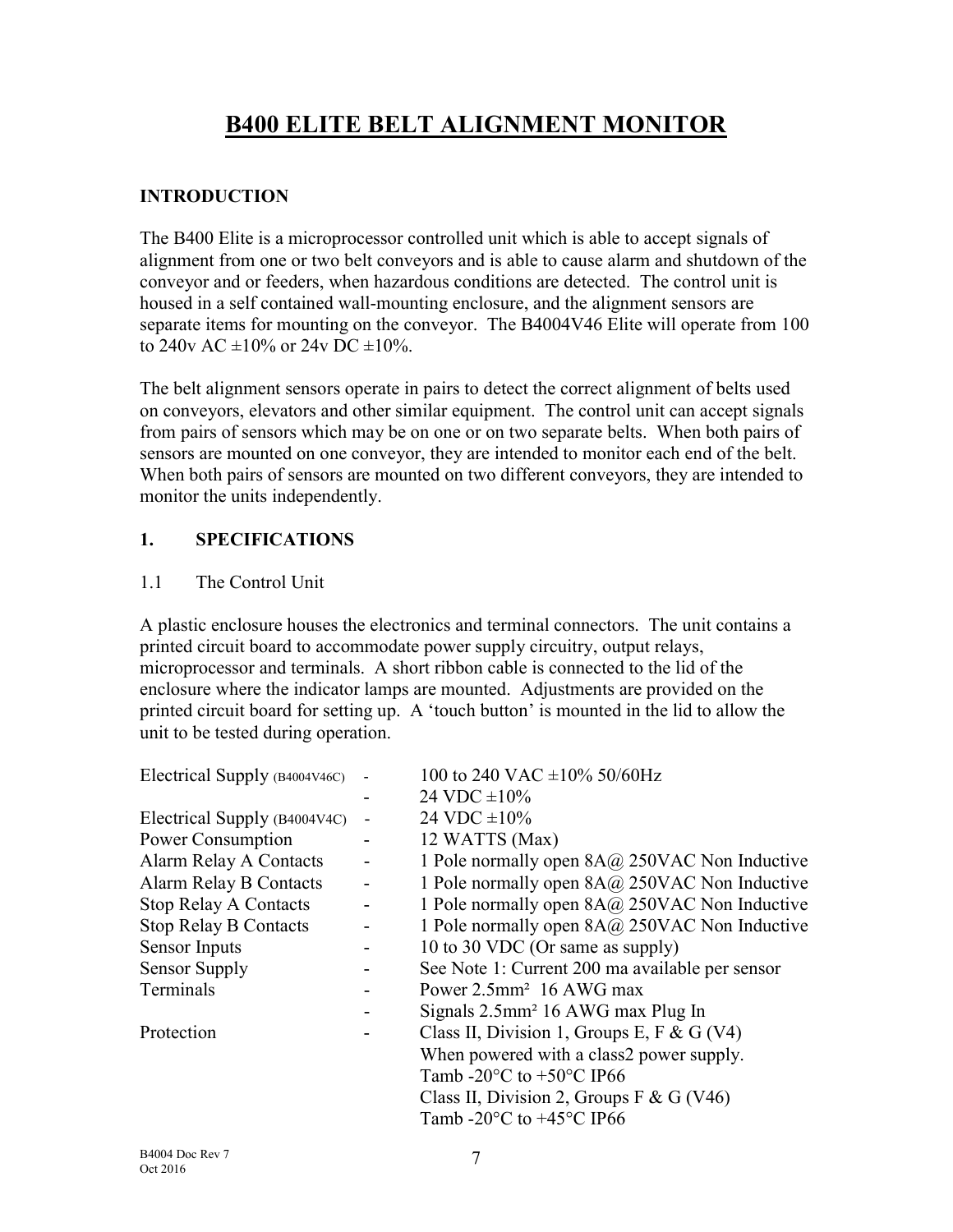# B400 ELITE BELT ALIGNMENT MONITOR

### INTRODUCTION

The B400 Elite is a microprocessor controlled unit which is able to accept signals of alignment from one or two belt conveyors and is able to cause alarm and shutdown of the conveyor and or feeders, when hazardous conditions are detected. The control unit is housed in a self contained wall-mounting enclosure, and the alignment sensors are separate items for mounting on the conveyor. The B4004V46 Elite will operate from 100 to 240y AC  $\pm 10\%$  or 24y DC  $\pm 10\%$ .

The belt alignment sensors operate in pairs to detect the correct alignment of belts used on conveyors, elevators and other similar equipment. The control unit can accept signals from pairs of sensors which may be on one or on two separate belts. When both pairs of sensors are mounted on one conveyor, they are intended to monitor each end of the belt. When both pairs of sensors are mounted on two different conveyors, they are intended to monitor the units independently.

### 1. SPECIFICATIONS

### 1.1 The Control Unit

A plastic enclosure houses the electronics and terminal connectors. The unit contains a printed circuit board to accommodate power supply circuitry, output relays, microprocessor and terminals. A short ribbon cable is connected to the lid of the enclosure where the indicator lamps are mounted. Adjustments are provided on the printed circuit board for setting up. A 'touch button' is mounted in the lid to allow the unit to be tested during operation.

| Electrical Supply (B4004V46C) |                          | 100 to 240 VAC $\pm$ 10% 50/60Hz                 |  |
|-------------------------------|--------------------------|--------------------------------------------------|--|
|                               |                          | 24 VDC $\pm 10\%$                                |  |
| Electrical Supply (B4004V4C)  |                          | 24 VDC $\pm 10\%$                                |  |
| Power Consumption             |                          | 12 WATTS (Max)                                   |  |
| Alarm Relay A Contacts        |                          | 1 Pole normally open $8A@250VAC$ Non Inductive   |  |
| <b>Alarm Relay B Contacts</b> | $\overline{\phantom{a}}$ | 1 Pole normally open $8A@250VAC$ Non Inductive   |  |
| <b>Stop Relay A Contacts</b>  |                          | 1 Pole normally open 8A@ 250VAC Non Inductive    |  |
| <b>Stop Relay B Contacts</b>  | -                        | 1 Pole normally open $8A@250VAC$ Non Inductive   |  |
| Sensor Inputs                 |                          | 10 to 30 VDC (Or same as supply)                 |  |
| <b>Sensor Supply</b>          |                          | See Note 1: Current 200 ma available per sensor  |  |
| Terminals                     |                          | Power $2.5$ mm <sup>2</sup> 16 AWG max           |  |
|                               |                          | Signals $2.5$ mm <sup>2</sup> 16 AWG max Plug In |  |
| Protection                    |                          | Class II, Division 1, Groups E, F & G (V4)       |  |
|                               |                          | When powered with a class2 power supply.         |  |
|                               |                          | Tamb -20 $\degree$ C to +50 $\degree$ C IP66     |  |
|                               |                          | Class II, Division 2, Groups F & G (V46)         |  |
|                               |                          | Tamb -20 $\degree$ C to +45 $\degree$ C IP66     |  |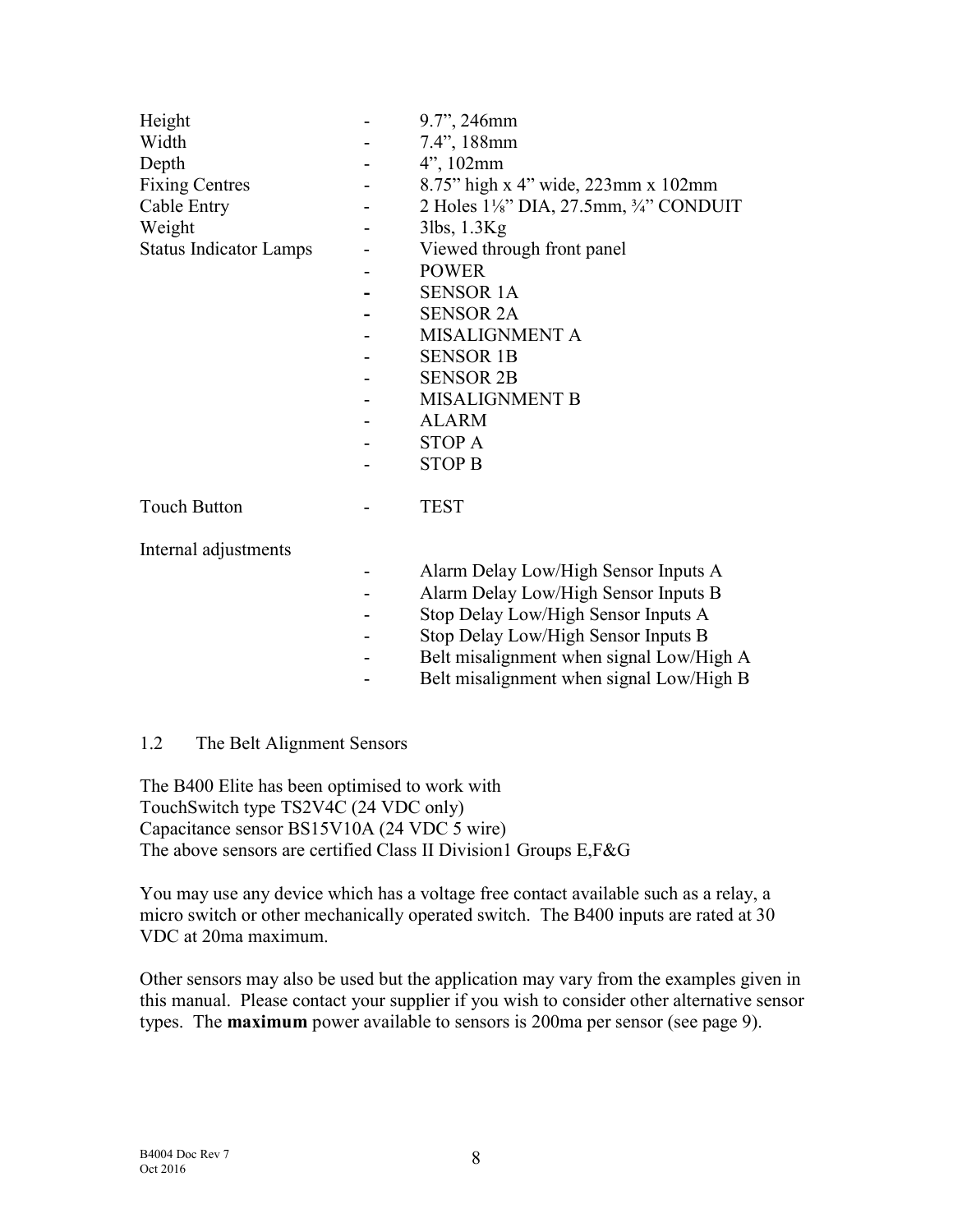| Height<br>Width<br>Depth<br><b>Fixing Centres</b><br>Cable Entry<br>Weight<br><b>Status Indicator Lamps</b> | 9.7", 246mm<br>7.4", 188mm<br>$4$ ", 102mm<br>8.75" high x 4" wide, 223mm x 102mm<br>2 Holes $1\frac{1}{8}$ " DIA, 27.5mm, $\frac{3}{4}$ " CONDUIT<br>3lbs, 1.3Kg<br>Viewed through front panel<br><b>POWER</b><br><b>SENSOR 1A</b><br><b>SENSOR 2A</b><br>MISALIGNMENT A<br><b>SENSOR 1B</b><br><b>SENSOR 2B</b> |  |
|-------------------------------------------------------------------------------------------------------------|-------------------------------------------------------------------------------------------------------------------------------------------------------------------------------------------------------------------------------------------------------------------------------------------------------------------|--|
|                                                                                                             | <b>MISALIGNMENT B</b><br><b>ALARM</b>                                                                                                                                                                                                                                                                             |  |
|                                                                                                             | <b>STOP A</b>                                                                                                                                                                                                                                                                                                     |  |
|                                                                                                             | <b>STOP B</b>                                                                                                                                                                                                                                                                                                     |  |
| <b>Touch Button</b>                                                                                         | <b>TEST</b>                                                                                                                                                                                                                                                                                                       |  |
| Internal adjustments                                                                                        |                                                                                                                                                                                                                                                                                                                   |  |
|                                                                                                             | Alarm Delay Low/High Sensor Inputs A<br>Alarm Delay Low/High Sensor Inputs B                                                                                                                                                                                                                                      |  |

- Stop Delay Low/High Sensor Inputs A
- Stop Delay Low/High Sensor Inputs B
- Belt misalignment when signal Low/High A
- Belt misalignment when signal Low/High B

### 1.2 The Belt Alignment Sensors

The B400 Elite has been optimised to work with TouchSwitch type TS2V4C (24 VDC only) Capacitance sensor BS15V10A (24 VDC 5 wire) The above sensors are certified Class II Division1 Groups E,F&G

You may use any device which has a voltage free contact available such as a relay, a micro switch or other mechanically operated switch. The B400 inputs are rated at 30 VDC at 20ma maximum.

Other sensors may also be used but the application may vary from the examples given in this manual. Please contact your supplier if you wish to consider other alternative sensor types. The **maximum** power available to sensors is 200ma per sensor (see page 9).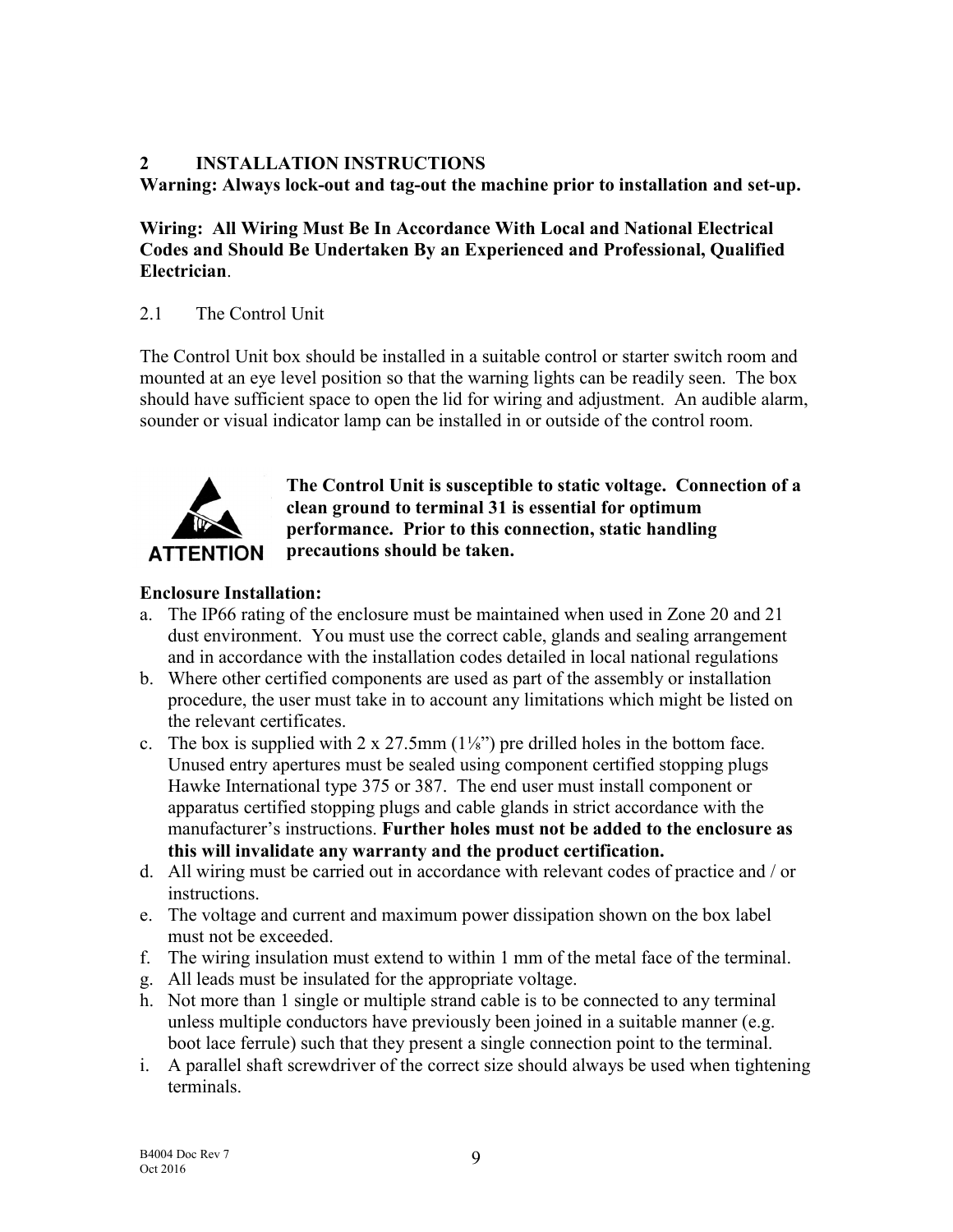### 2 INSTALLATION INSTRUCTIONS

Warning: Always lock-out and tag-out the machine prior to installation and set-up.

### Wiring: All Wiring Must Be In Accordance With Local and National Electrical Codes and Should Be Undertaken By an Experienced and Professional, Qualified Electrician.

### 2.1 The Control Unit

The Control Unit box should be installed in a suitable control or starter switch room and mounted at an eye level position so that the warning lights can be readily seen. The box should have sufficient space to open the lid for wiring and adjustment. An audible alarm, sounder or visual indicator lamp can be installed in or outside of the control room.



The Control Unit is susceptible to static voltage. Connection of a clean ground to terminal 31 is essential for optimum performance. Prior to this connection, static handling precautions should be taken.

### Enclosure Installation:

- a. The IP66 rating of the enclosure must be maintained when used in Zone 20 and 21 dust environment. You must use the correct cable, glands and sealing arrangement and in accordance with the installation codes detailed in local national regulations
- b. Where other certified components are used as part of the assembly or installation procedure, the user must take in to account any limitations which might be listed on the relevant certificates.
- c. The box is supplied with  $2 \times 27.5$ mm ( $1\frac{1}{8}$ ) pre drilled holes in the bottom face. Unused entry apertures must be sealed using component certified stopping plugs Hawke International type 375 or 387. The end user must install component or apparatus certified stopping plugs and cable glands in strict accordance with the manufacturer's instructions. Further holes must not be added to the enclosure as this will invalidate any warranty and the product certification.
- d. All wiring must be carried out in accordance with relevant codes of practice and / or instructions.
- e. The voltage and current and maximum power dissipation shown on the box label must not be exceeded.
- f. The wiring insulation must extend to within 1 mm of the metal face of the terminal.
- g. All leads must be insulated for the appropriate voltage.
- h. Not more than 1 single or multiple strand cable is to be connected to any terminal unless multiple conductors have previously been joined in a suitable manner (e.g. boot lace ferrule) such that they present a single connection point to the terminal.
- i. A parallel shaft screwdriver of the correct size should always be used when tightening terminals.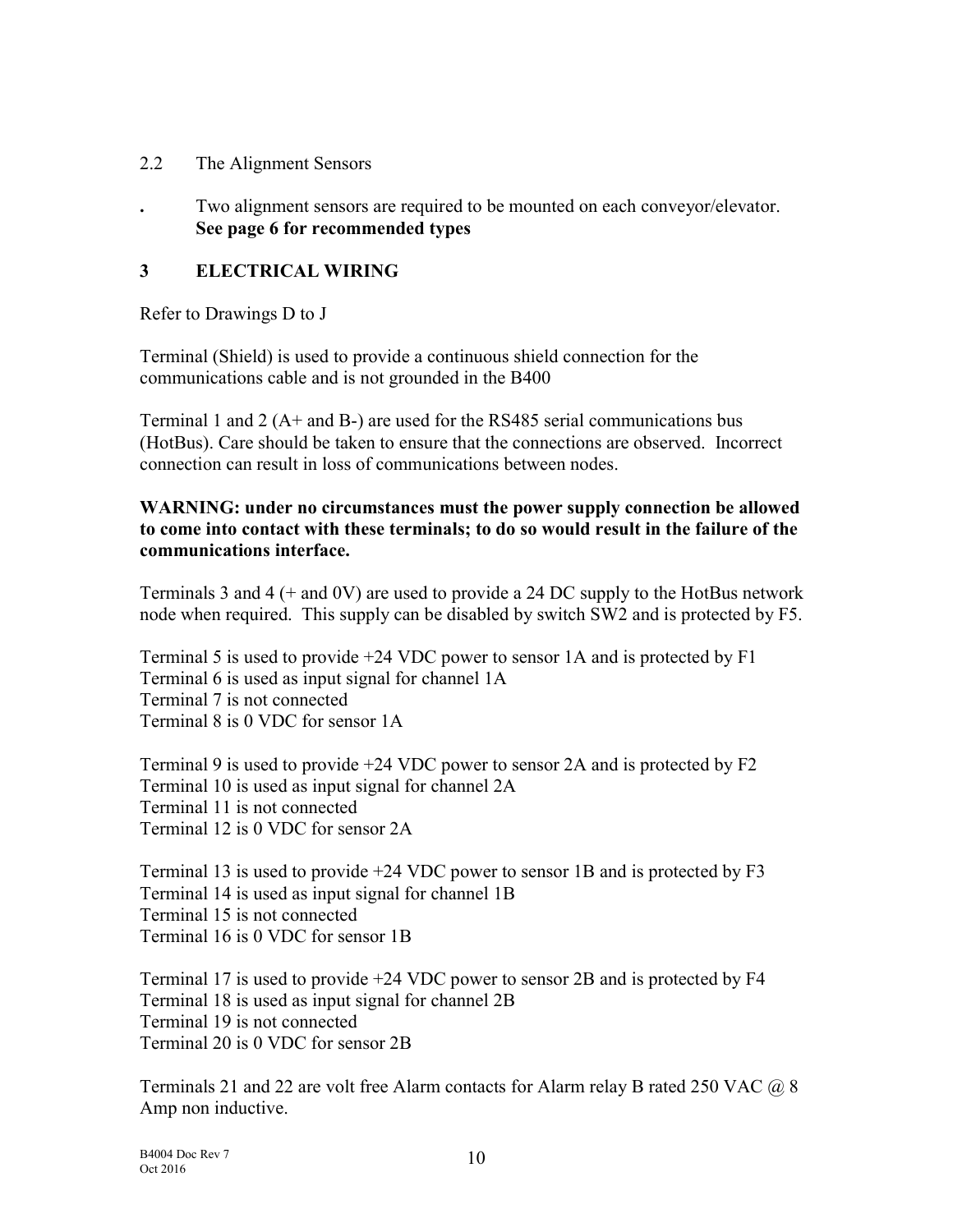- 2.2 The Alignment Sensors
- . Two alignment sensors are required to be mounted on each conveyor/elevator. See page 6 for recommended types

### 3 ELECTRICAL WIRING

Refer to Drawings D to J

Terminal (Shield) is used to provide a continuous shield connection for the communications cable and is not grounded in the B400

Terminal 1 and 2 (A+ and B-) are used for the RS485 serial communications bus (HotBus). Care should be taken to ensure that the connections are observed. Incorrect connection can result in loss of communications between nodes.

### WARNING: under no circumstances must the power supply connection be allowed to come into contact with these terminals; to do so would result in the failure of the communications interface.

Terminals 3 and 4 (+ and 0V) are used to provide a 24 DC supply to the HotBus network node when required. This supply can be disabled by switch SW2 and is protected by F5.

Terminal 5 is used to provide +24 VDC power to sensor 1A and is protected by F1 Terminal 6 is used as input signal for channel 1A Terminal 7 is not connected Terminal 8 is 0 VDC for sensor 1A

Terminal 9 is used to provide +24 VDC power to sensor 2A and is protected by F2 Terminal 10 is used as input signal for channel 2A Terminal 11 is not connected Terminal 12 is 0 VDC for sensor 2A

Terminal 13 is used to provide +24 VDC power to sensor 1B and is protected by F3 Terminal 14 is used as input signal for channel 1B Terminal 15 is not connected Terminal 16 is 0 VDC for sensor 1B

Terminal 17 is used to provide +24 VDC power to sensor 2B and is protected by F4 Terminal 18 is used as input signal for channel 2B Terminal 19 is not connected Terminal 20 is 0 VDC for sensor 2B

Terminals 21 and 22 are volt free Alarm contacts for Alarm relay B rated 250 VAC  $@$  8 Amp non inductive.

B4004 Doc Rev 7 Oct 2016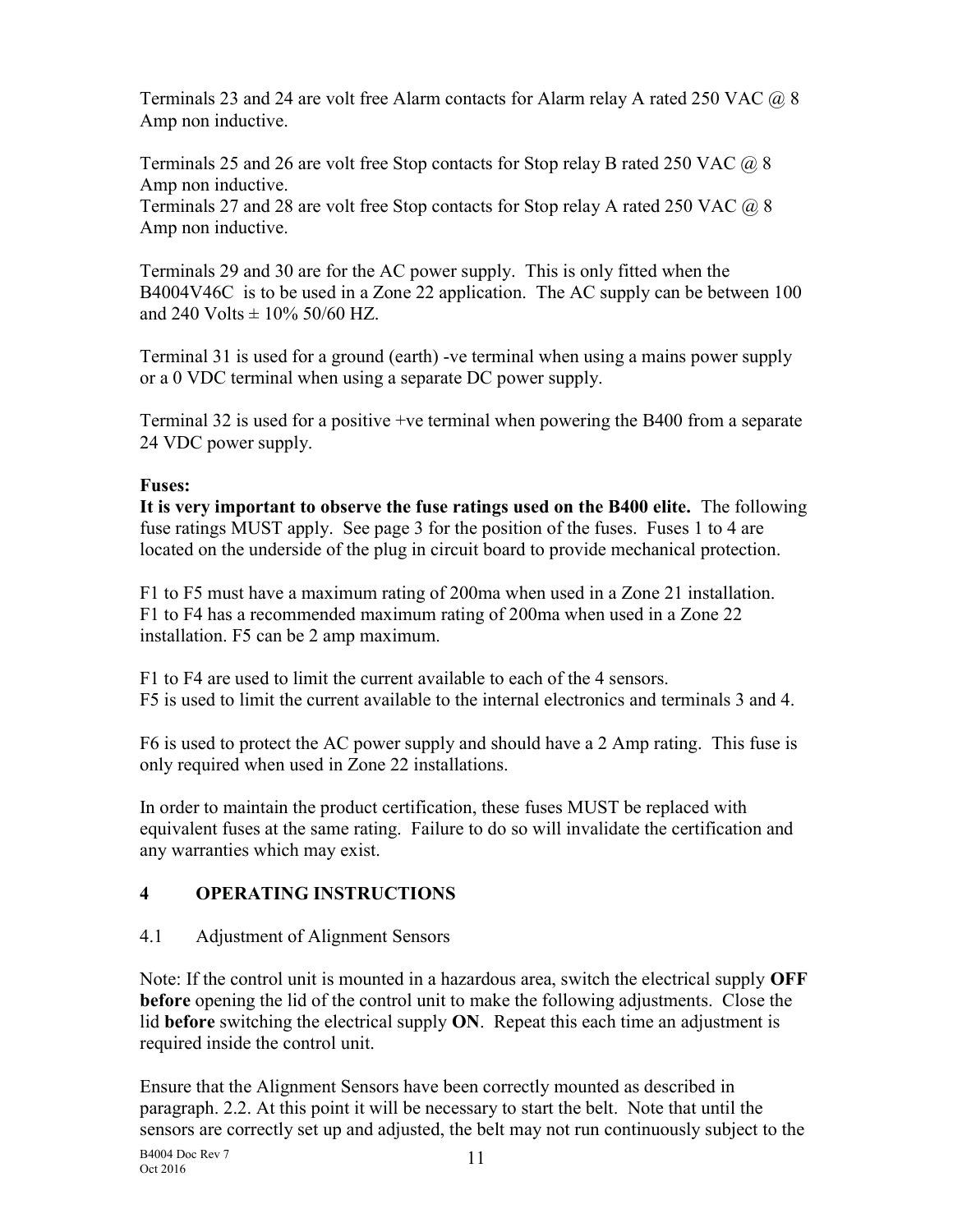Terminals 23 and 24 are volt free Alarm contacts for Alarm relay A rated 250 VAC  $@8$ Amp non inductive.

Terminals 25 and 26 are volt free Stop contacts for Stop relay B rated 250 VAC  $\omega$  8 Amp non inductive.

Terminals 27 and 28 are volt free Stop contacts for Stop relay A rated 250 VAC @ 8 Amp non inductive.

Terminals 29 and 30 are for the AC power supply. This is only fitted when the B4004V46C is to be used in a Zone 22 application. The AC supply can be between 100 and 240 Volts  $\pm$  10% 50/60 HZ.

Terminal 31 is used for a ground (earth) -ve terminal when using a mains power supply or a 0 VDC terminal when using a separate DC power supply.

Terminal 32 is used for a positive +ve terminal when powering the B400 from a separate 24 VDC power supply.

### Fuses:

It is very important to observe the fuse ratings used on the B400 elite. The following fuse ratings MUST apply. See page 3 for the position of the fuses. Fuses 1 to 4 are located on the underside of the plug in circuit board to provide mechanical protection.

F1 to F5 must have a maximum rating of 200ma when used in a Zone 21 installation. F1 to F4 has a recommended maximum rating of 200ma when used in a Zone 22 installation. F5 can be 2 amp maximum.

F1 to F4 are used to limit the current available to each of the 4 sensors. F5 is used to limit the current available to the internal electronics and terminals 3 and 4.

F6 is used to protect the AC power supply and should have a 2 Amp rating. This fuse is only required when used in Zone 22 installations.

In order to maintain the product certification, these fuses MUST be replaced with equivalent fuses at the same rating. Failure to do so will invalidate the certification and any warranties which may exist.

### 4 OPERATING INSTRUCTIONS

### 4.1 Adjustment of Alignment Sensors

Note: If the control unit is mounted in a hazardous area, switch the electrical supply  $\overline{OFF}$ before opening the lid of the control unit to make the following adjustments. Close the lid before switching the electrical supply  $ON$ . Repeat this each time an adjustment is required inside the control unit.

Ensure that the Alignment Sensors have been correctly mounted as described in paragraph. 2.2. At this point it will be necessary to start the belt. Note that until the sensors are correctly set up and adjusted, the belt may not run continuously subject to the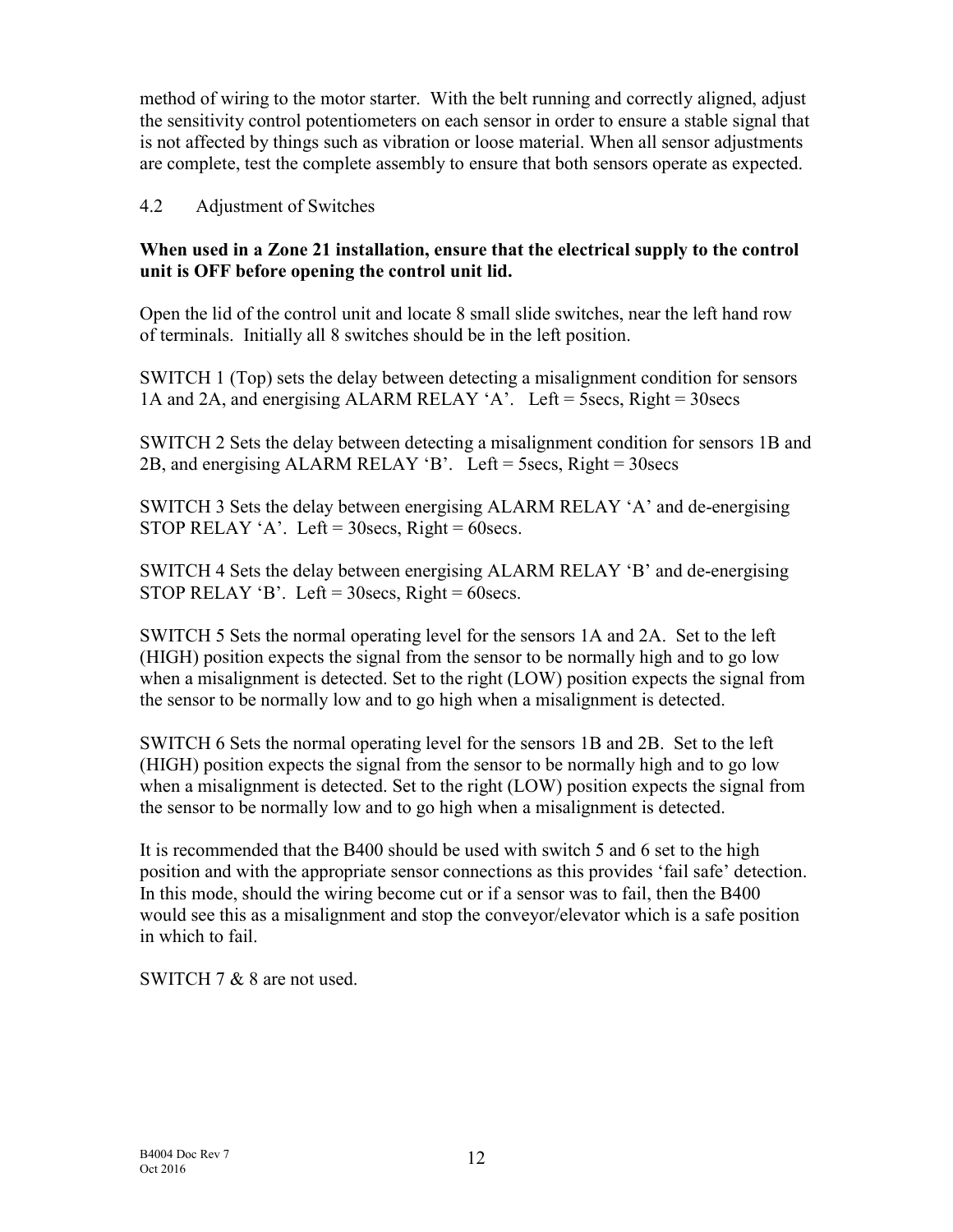method of wiring to the motor starter. With the belt running and correctly aligned, adjust the sensitivity control potentiometers on each sensor in order to ensure a stable signal that is not affected by things such as vibration or loose material. When all sensor adjustments are complete, test the complete assembly to ensure that both sensors operate as expected.

### 4.2 Adjustment of Switches

### When used in a Zone 21 installation, ensure that the electrical supply to the control unit is OFF before opening the control unit lid.

Open the lid of the control unit and locate 8 small slide switches, near the left hand row of terminals. Initially all 8 switches should be in the left position.

SWITCH 1 (Top) sets the delay between detecting a misalignment condition for sensors 1A and 2A, and energising ALARM RELAY 'A'. Left = 5secs, Right = 30secs

SWITCH 2 Sets the delay between detecting a misalignment condition for sensors 1B and 2B, and energising ALARM RELAY 'B'. Left = 5secs, Right = 30secs

SWITCH 3 Sets the delay between energising ALARM RELAY 'A' and de-energising STOP RELAY 'A'. Left =  $30$ secs, Right =  $60$ secs.

SWITCH 4 Sets the delay between energising ALARM RELAY 'B' and de-energising STOP RELAY 'B'. Left =  $30$ secs, Right =  $60$ secs.

SWITCH 5 Sets the normal operating level for the sensors 1A and 2A. Set to the left (HIGH) position expects the signal from the sensor to be normally high and to go low when a misalignment is detected. Set to the right (LOW) position expects the signal from the sensor to be normally low and to go high when a misalignment is detected.

SWITCH 6 Sets the normal operating level for the sensors 1B and 2B. Set to the left (HIGH) position expects the signal from the sensor to be normally high and to go low when a misalignment is detected. Set to the right (LOW) position expects the signal from the sensor to be normally low and to go high when a misalignment is detected.

It is recommended that the B400 should be used with switch 5 and 6 set to the high position and with the appropriate sensor connections as this provides 'fail safe' detection. In this mode, should the wiring become cut or if a sensor was to fail, then the B400 would see this as a misalignment and stop the conveyor/elevator which is a safe position in which to fail.

SWITCH 7 & 8 are not used.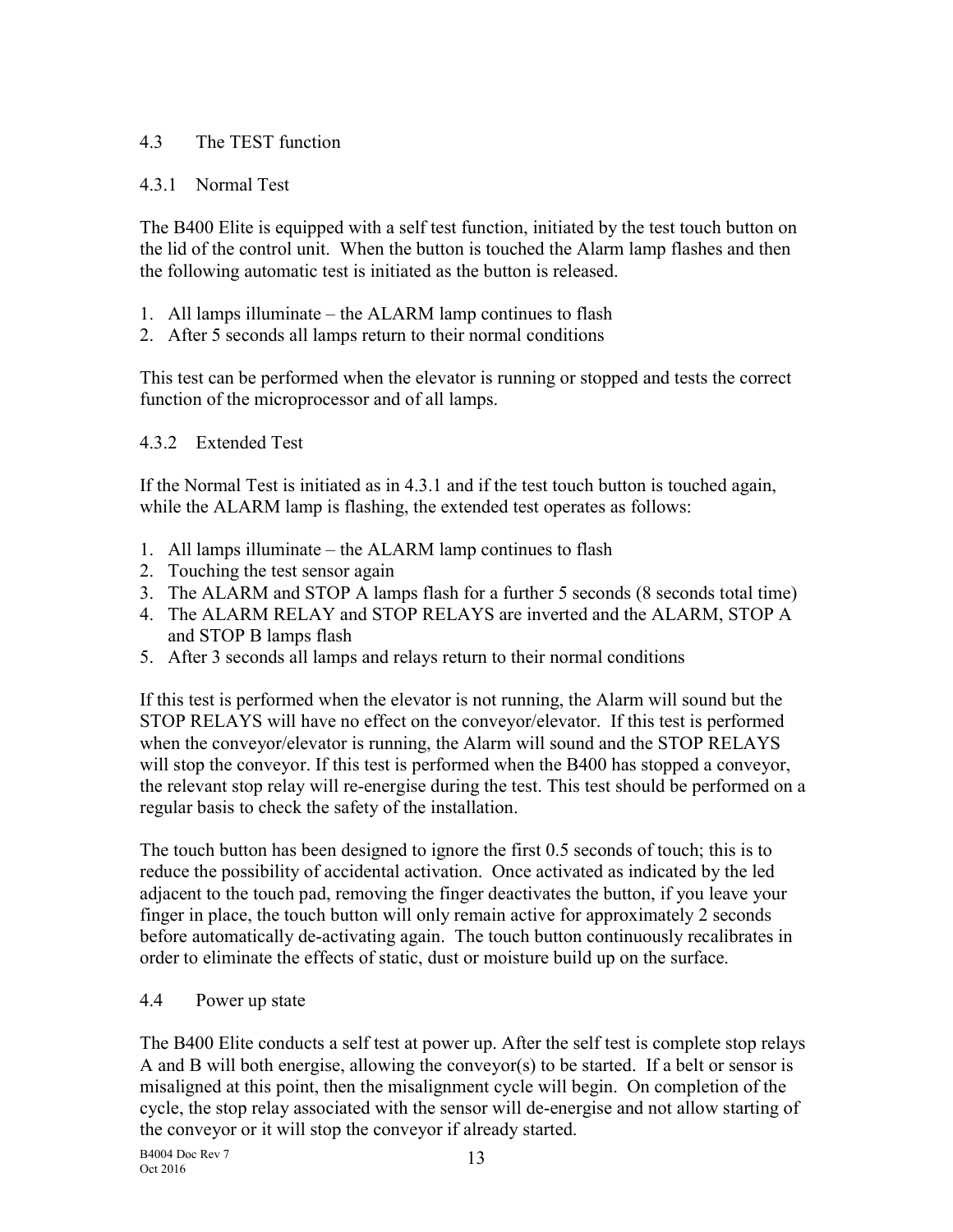### 4.3 The TEST function

### 4.3.1 Normal Test

The B400 Elite is equipped with a self test function, initiated by the test touch button on the lid of the control unit. When the button is touched the Alarm lamp flashes and then the following automatic test is initiated as the button is released.

- 1. All lamps illuminate the ALARM lamp continues to flash
- 2. After 5 seconds all lamps return to their normal conditions

This test can be performed when the elevator is running or stopped and tests the correct function of the microprocessor and of all lamps.

### 4.3.2 Extended Test

If the Normal Test is initiated as in 4.3.1 and if the test touch button is touched again, while the ALARM lamp is flashing, the extended test operates as follows:

- 1. All lamps illuminate the ALARM lamp continues to flash
- 2. Touching the test sensor again
- 3. The ALARM and STOP A lamps flash for a further 5 seconds (8 seconds total time)
- 4. The ALARM RELAY and STOP RELAYS are inverted and the ALARM, STOP A and STOP B lamps flash
- 5. After 3 seconds all lamps and relays return to their normal conditions

If this test is performed when the elevator is not running, the Alarm will sound but the STOP RELAYS will have no effect on the conveyor/elevator. If this test is performed when the conveyor/elevator is running, the Alarm will sound and the STOP RELAYS will stop the conveyor. If this test is performed when the B400 has stopped a conveyor, the relevant stop relay will re-energise during the test. This test should be performed on a regular basis to check the safety of the installation.

The touch button has been designed to ignore the first 0.5 seconds of touch; this is to reduce the possibility of accidental activation. Once activated as indicated by the led adjacent to the touch pad, removing the finger deactivates the button, if you leave your finger in place, the touch button will only remain active for approximately 2 seconds before automatically de-activating again. The touch button continuously recalibrates in order to eliminate the effects of static, dust or moisture build up on the surface.

### 4.4 Power up state

The B400 Elite conducts a self test at power up. After the self test is complete stop relays A and B will both energise, allowing the conveyor(s) to be started. If a belt or sensor is misaligned at this point, then the misalignment cycle will begin. On completion of the cycle, the stop relay associated with the sensor will de-energise and not allow starting of the conveyor or it will stop the conveyor if already started.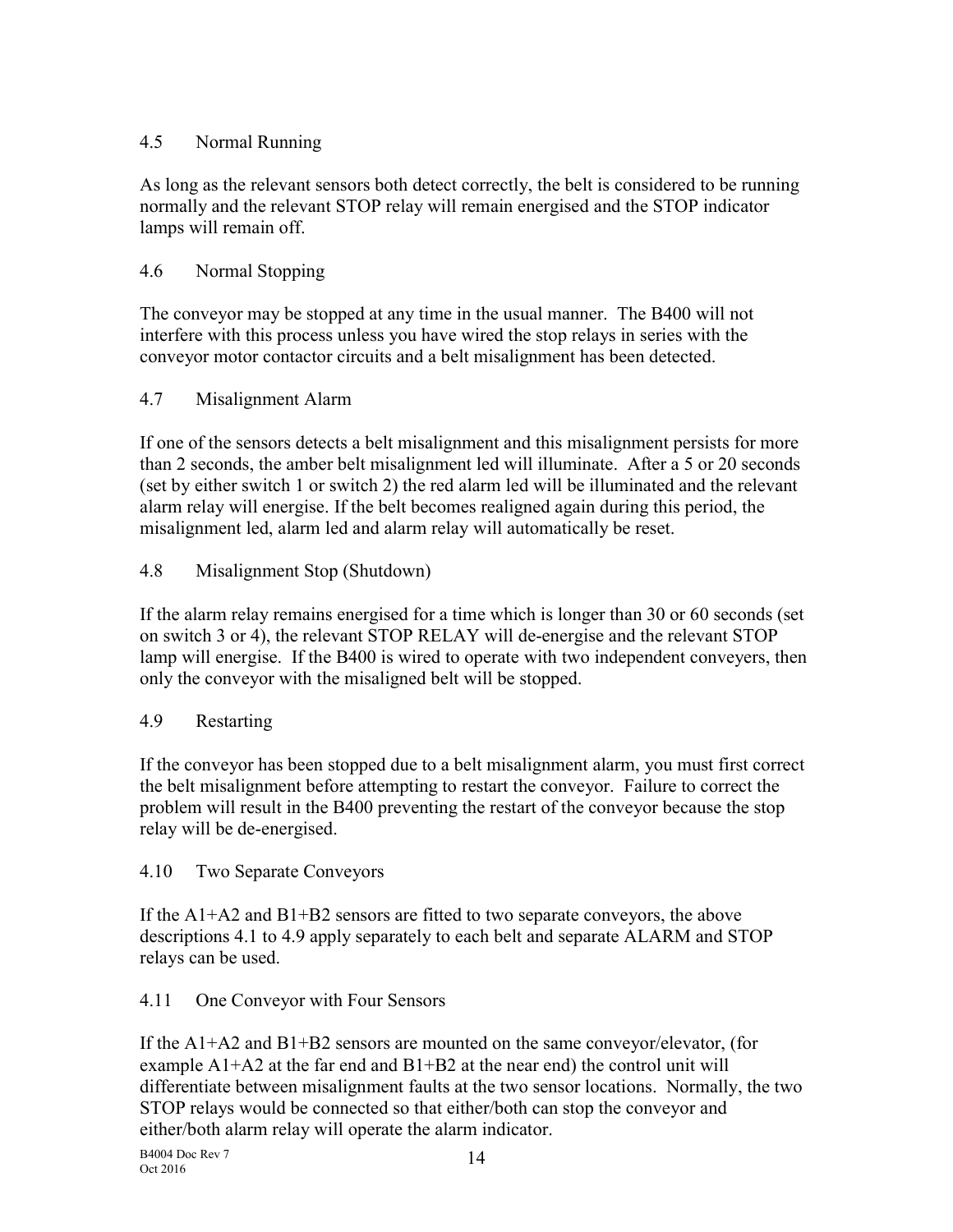### 4.5 Normal Running

As long as the relevant sensors both detect correctly, the belt is considered to be running normally and the relevant STOP relay will remain energised and the STOP indicator lamps will remain off.

### 4.6 Normal Stopping

The conveyor may be stopped at any time in the usual manner. The B400 will not interfere with this process unless you have wired the stop relays in series with the conveyor motor contactor circuits and a belt misalignment has been detected.

### 4.7 Misalignment Alarm

If one of the sensors detects a belt misalignment and this misalignment persists for more than 2 seconds, the amber belt misalignment led will illuminate. After a 5 or 20 seconds (set by either switch 1 or switch 2) the red alarm led will be illuminated and the relevant alarm relay will energise. If the belt becomes realigned again during this period, the misalignment led, alarm led and alarm relay will automatically be reset.

### 4.8 Misalignment Stop (Shutdown)

If the alarm relay remains energised for a time which is longer than 30 or 60 seconds (set on switch 3 or 4), the relevant STOP RELAY will de-energise and the relevant STOP lamp will energise. If the B400 is wired to operate with two independent conveyers, then only the conveyor with the misaligned belt will be stopped.

### 4.9 Restarting

If the conveyor has been stopped due to a belt misalignment alarm, you must first correct the belt misalignment before attempting to restart the conveyor. Failure to correct the problem will result in the B400 preventing the restart of the conveyor because the stop relay will be de-energised.

### 4.10 Two Separate Conveyors

If the A1+A2 and B1+B2 sensors are fitted to two separate conveyors, the above descriptions 4.1 to 4.9 apply separately to each belt and separate ALARM and STOP relays can be used.

### 4.11 One Conveyor with Four Sensors

If the A1+A2 and B1+B2 sensors are mounted on the same conveyor/elevator, (for example  $A1+A2$  at the far end and  $B1+B2$  at the near end) the control unit will differentiate between misalignment faults at the two sensor locations. Normally, the two STOP relays would be connected so that either/both can stop the conveyor and either/both alarm relay will operate the alarm indicator.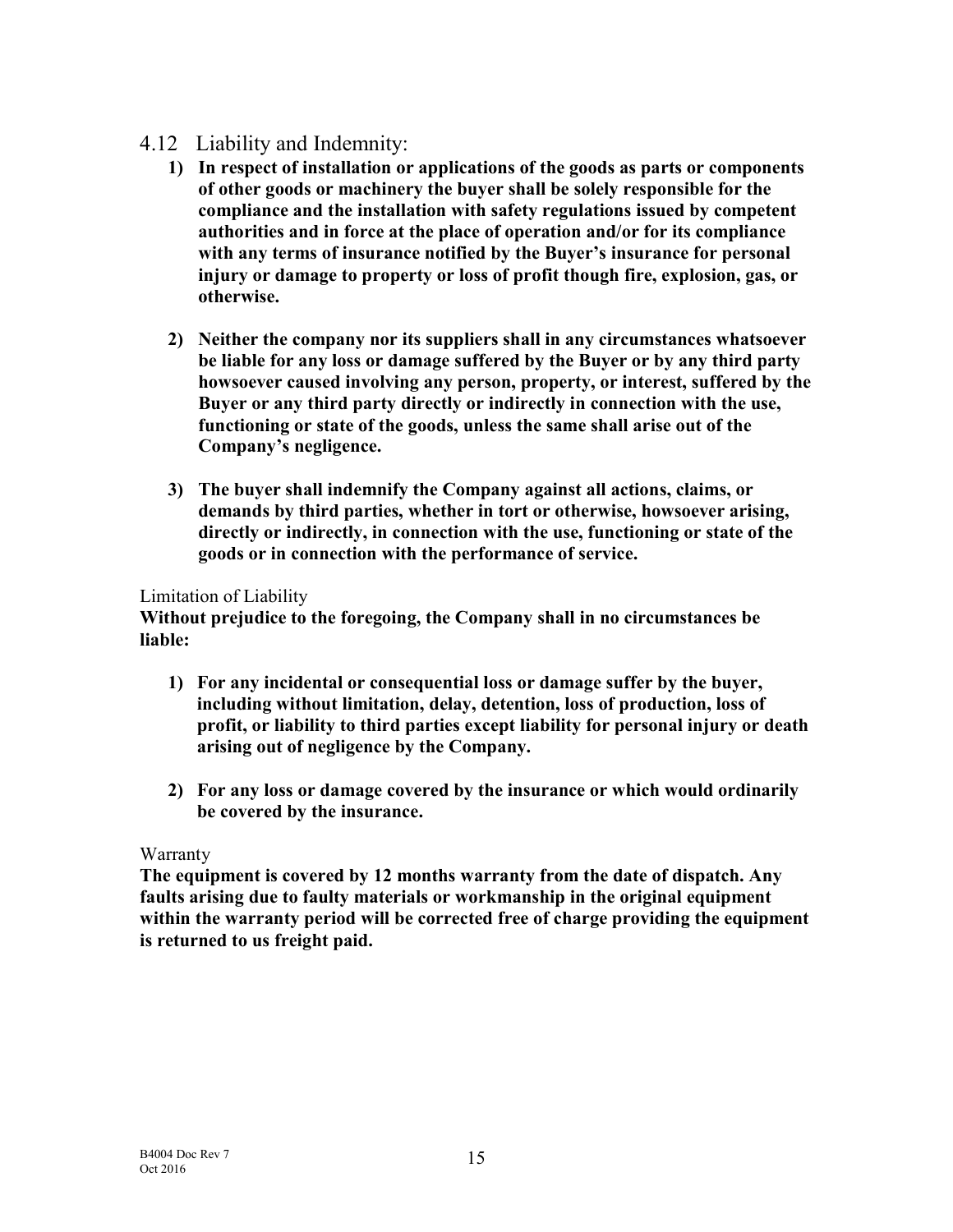### 4.12 Liability and Indemnity:

- 1) In respect of installation or applications of the goods as parts or components of other goods or machinery the buyer shall be solely responsible for the compliance and the installation with safety regulations issued by competent authorities and in force at the place of operation and/or for its compliance with any terms of insurance notified by the Buyer's insurance for personal injury or damage to property or loss of profit though fire, explosion, gas, or otherwise.
- 2) Neither the company nor its suppliers shall in any circumstances whatsoever be liable for any loss or damage suffered by the Buyer or by any third party howsoever caused involving any person, property, or interest, suffered by the Buyer or any third party directly or indirectly in connection with the use, functioning or state of the goods, unless the same shall arise out of the Company's negligence.
- 3) The buyer shall indemnify the Company against all actions, claims, or demands by third parties, whether in tort or otherwise, howsoever arising, directly or indirectly, in connection with the use, functioning or state of the goods or in connection with the performance of service.

### Limitation of Liability

Without prejudice to the foregoing, the Company shall in no circumstances be liable:

- 1) For any incidental or consequential loss or damage suffer by the buyer, including without limitation, delay, detention, loss of production, loss of profit, or liability to third parties except liability for personal injury or death arising out of negligence by the Company.
- 2) For any loss or damage covered by the insurance or which would ordinarily be covered by the insurance.

### Warranty

The equipment is covered by 12 months warranty from the date of dispatch. Any faults arising due to faulty materials or workmanship in the original equipment within the warranty period will be corrected free of charge providing the equipment is returned to us freight paid.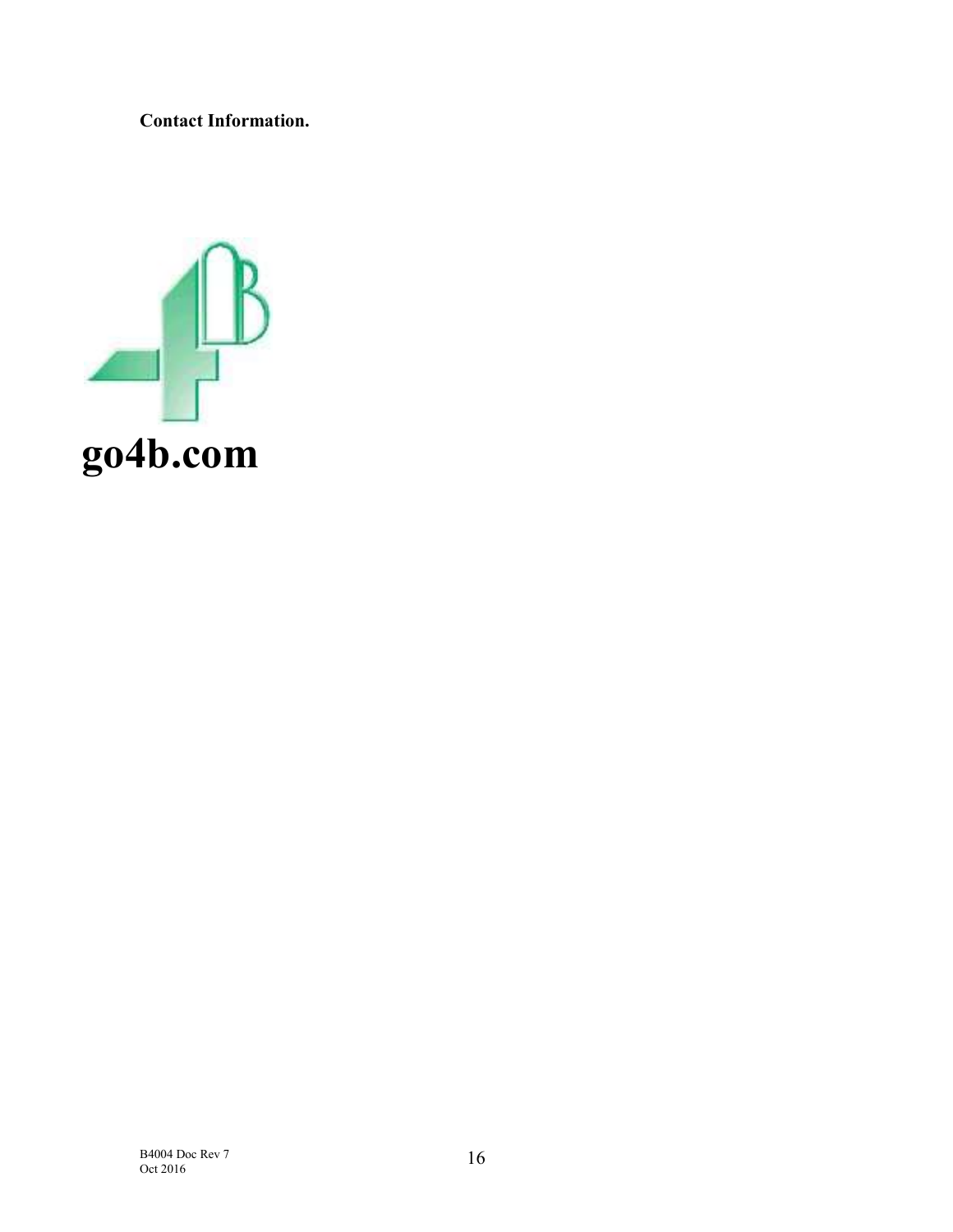Contact Information.

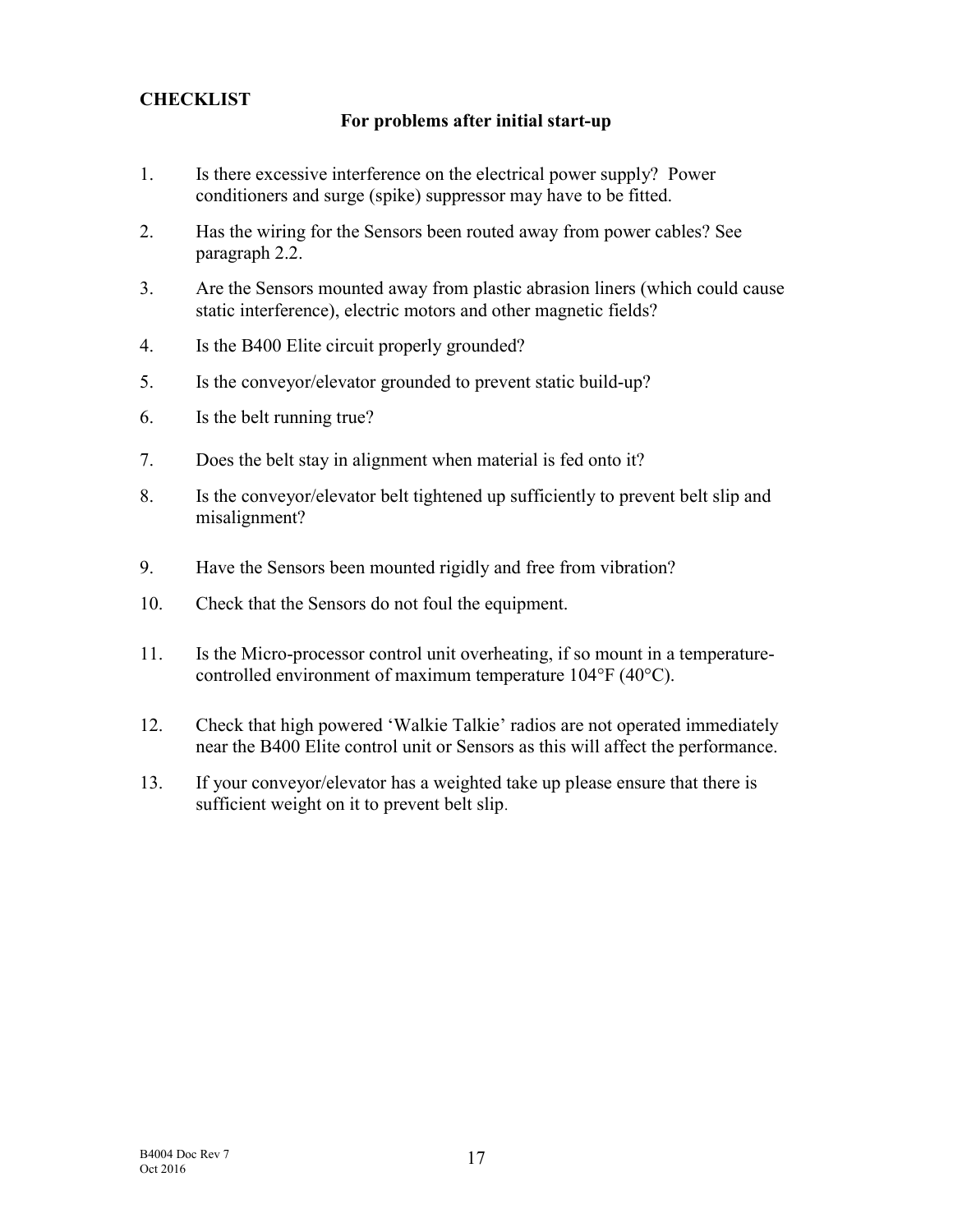### **CHECKLIST**

### For problems after initial start-up

- 1. Is there excessive interference on the electrical power supply? Power conditioners and surge (spike) suppressor may have to be fitted.
- 2. Has the wiring for the Sensors been routed away from power cables? See paragraph 2.2.
- 3. Are the Sensors mounted away from plastic abrasion liners (which could cause static interference), electric motors and other magnetic fields?
- 4. Is the B400 Elite circuit properly grounded?
- 5. Is the conveyor/elevator grounded to prevent static build-up?
- 6. Is the belt running true?
- 7. Does the belt stay in alignment when material is fed onto it?
- 8. Is the conveyor/elevator belt tightened up sufficiently to prevent belt slip and misalignment?
- 9. Have the Sensors been mounted rigidly and free from vibration?
- 10. Check that the Sensors do not foul the equipment.
- 11. Is the Micro-processor control unit overheating, if so mount in a temperaturecontrolled environment of maximum temperature 104°F (40°C).
- 12. Check that high powered 'Walkie Talkie' radios are not operated immediately near the B400 Elite control unit or Sensors as this will affect the performance.
- 13. If your conveyor/elevator has a weighted take up please ensure that there is sufficient weight on it to prevent belt slip.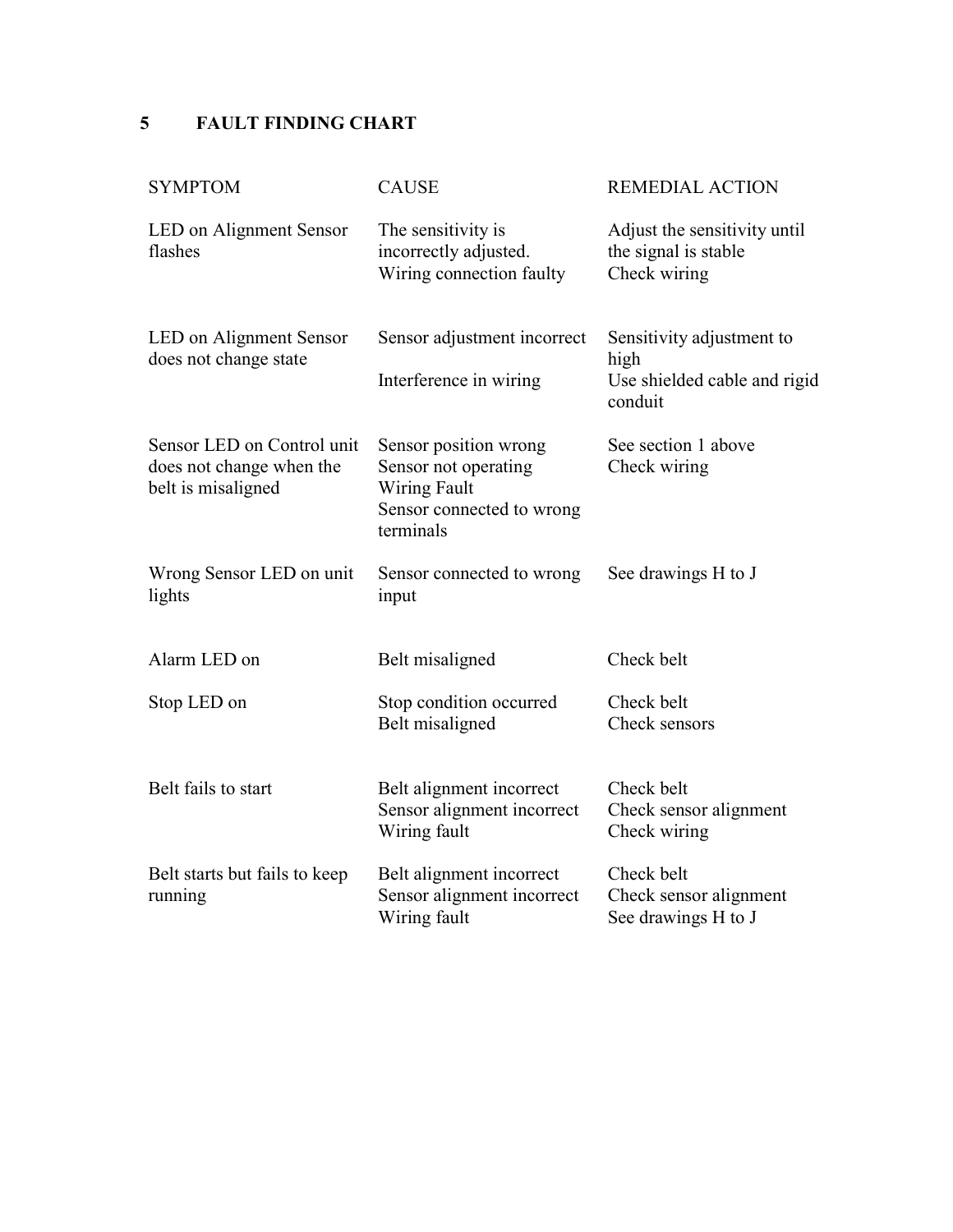## 5 FAULT FINDING CHART

| <b>SYMPTOM</b>                                                               | <b>CAUSE</b>                                                                                            | <b>REMEDIAL ACTION</b>                                                       |
|------------------------------------------------------------------------------|---------------------------------------------------------------------------------------------------------|------------------------------------------------------------------------------|
| LED on Alignment Sensor<br>flashes                                           | The sensitivity is<br>incorrectly adjusted.<br>Wiring connection faulty                                 | Adjust the sensitivity until<br>the signal is stable<br>Check wiring         |
| LED on Alignment Sensor<br>does not change state                             | Sensor adjustment incorrect<br>Interference in wiring                                                   | Sensitivity adjustment to<br>high<br>Use shielded cable and rigid<br>conduit |
| Sensor LED on Control unit<br>does not change when the<br>belt is misaligned | Sensor position wrong<br>Sensor not operating<br>Wiring Fault<br>Sensor connected to wrong<br>terminals | See section 1 above<br>Check wiring                                          |
| Wrong Sensor LED on unit<br>lights                                           | Sensor connected to wrong<br>input                                                                      | See drawings H to J                                                          |
| Alarm LED on                                                                 | Belt misaligned                                                                                         | Check belt                                                                   |
| Stop LED on                                                                  | Stop condition occurred<br>Belt misaligned                                                              | Check belt<br>Check sensors                                                  |
| Belt fails to start                                                          | Belt alignment incorrect<br>Sensor alignment incorrect<br>Wiring fault                                  | Check belt<br>Check sensor alignment<br>Check wiring                         |
| Belt starts but fails to keep<br>running                                     | Belt alignment incorrect<br>Sensor alignment incorrect<br>Wiring fault                                  | Check belt<br>Check sensor alignment<br>See drawings H to J                  |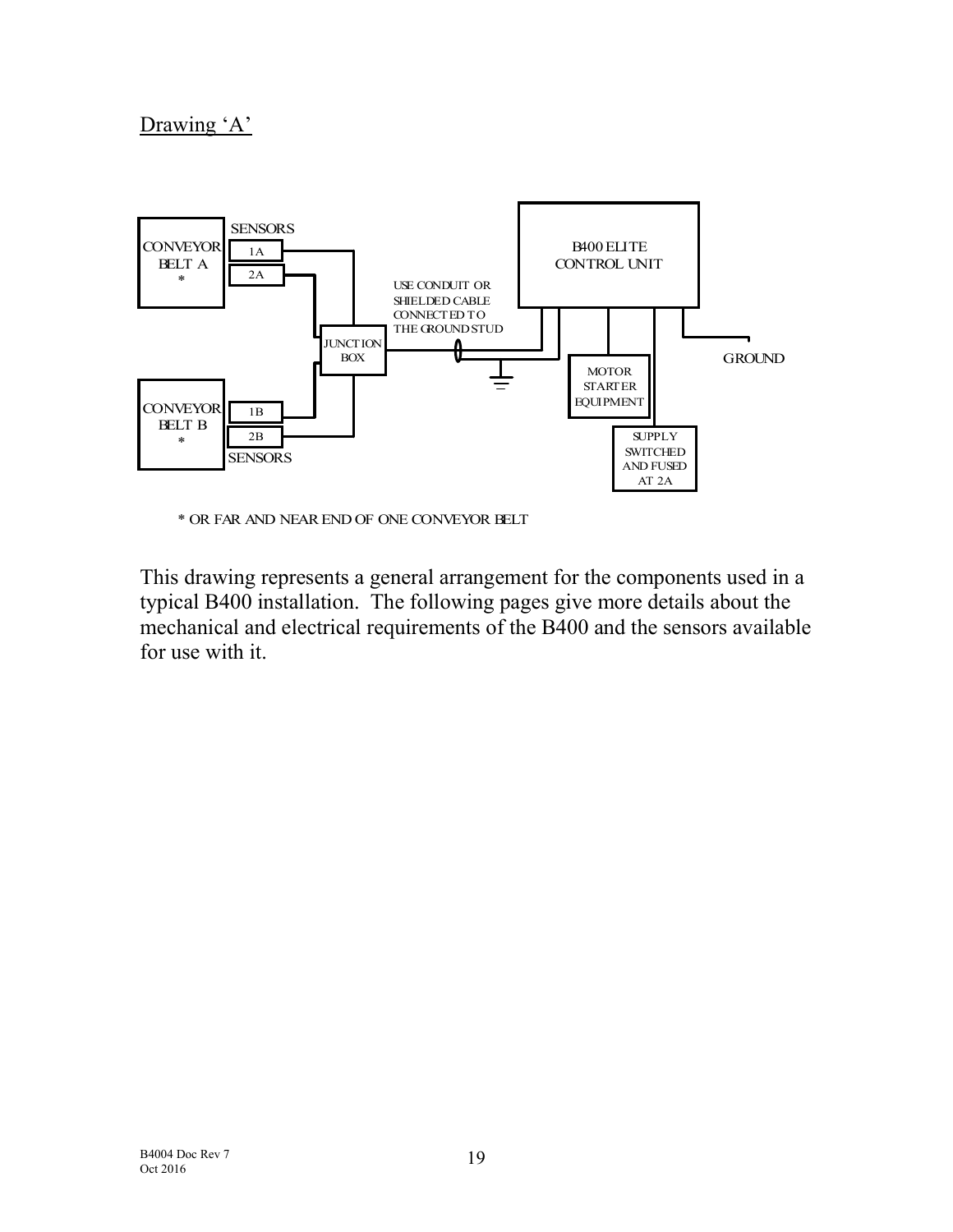# Drawing 'A'



\* OR FAR AND NEAR END OF ONE CONVEYOR BELT

This drawing represents a general arrangement for the components used in a typical B400 installation. The following pages give more details about the mechanical and electrical requirements of the B400 and the sensors available for use with it.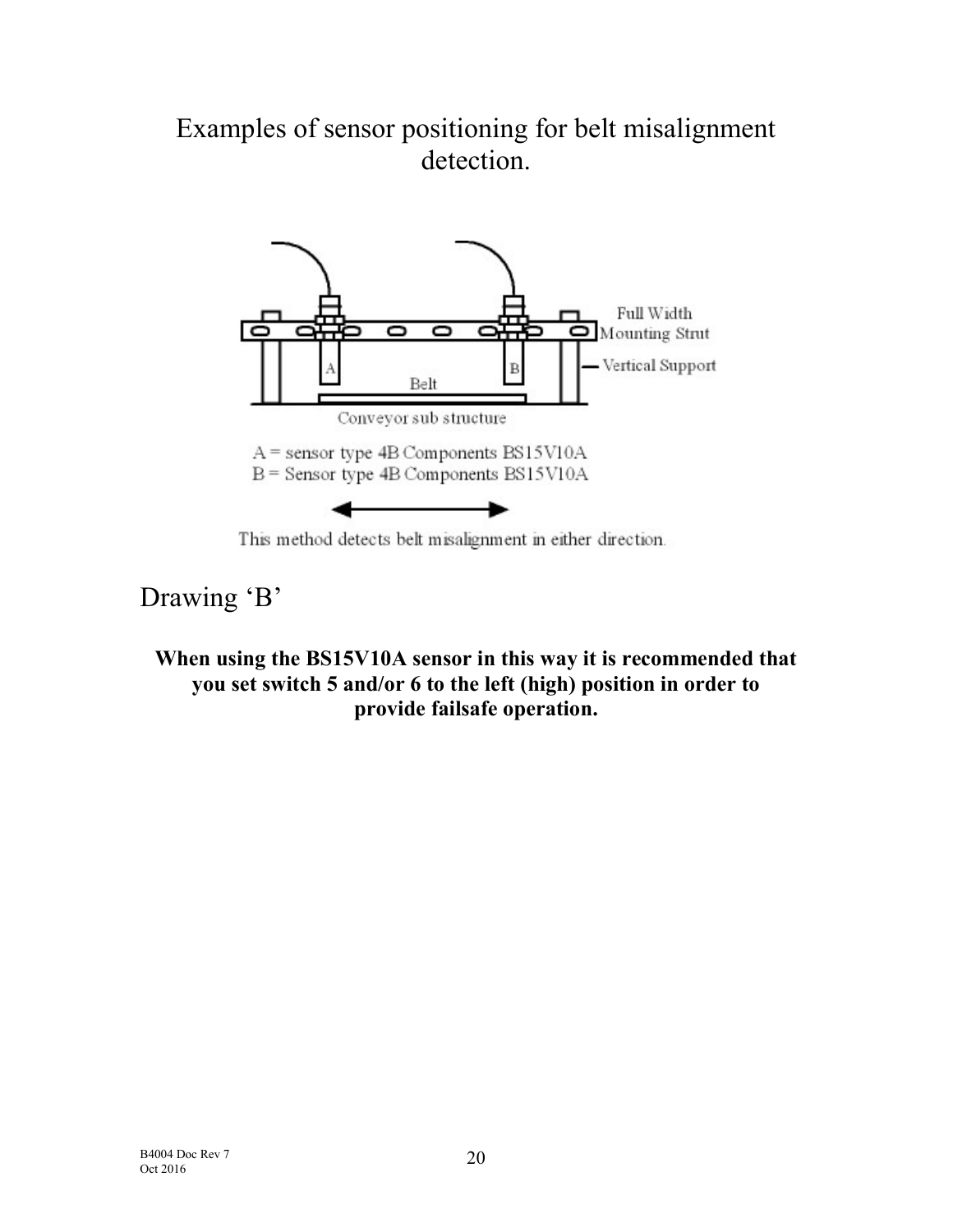# Examples of sensor positioning for belt misalignment detection.



This method detects belt misalignment in either direction.

# Drawing 'B'

# When using the BS15V10A sensor in this way it is recommended that you set switch 5 and/or 6 to the left (high) position in order to provide failsafe operation.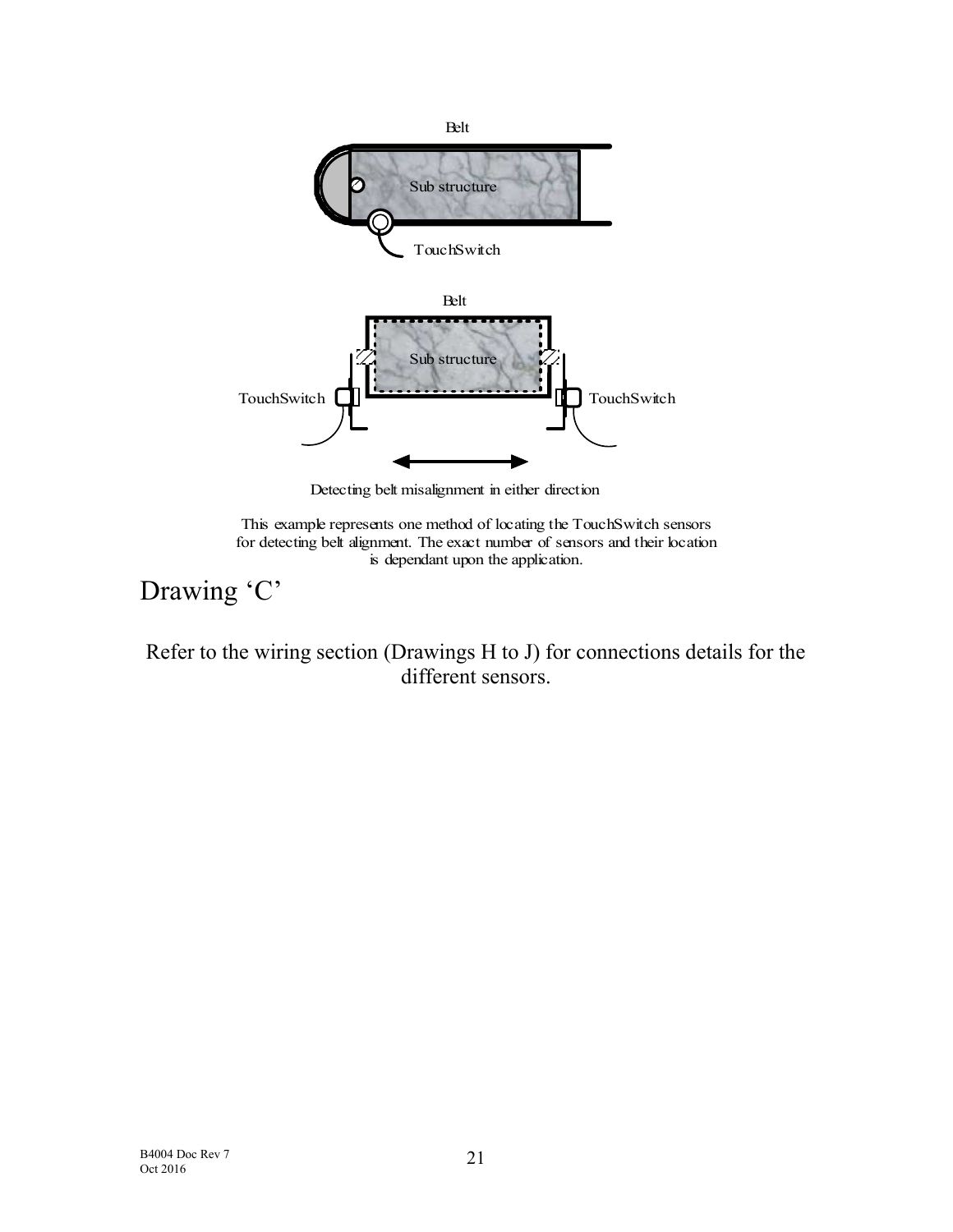

Detecting belt misalignment in either direction

This example represents one method of locating the TouchSwitch sensors for detecting belt alignment. The exact number of sensors and their location is dependant upon the application.

# Drawing 'C'

Refer to the wiring section (Drawings H to J) for connections details for the different sensors.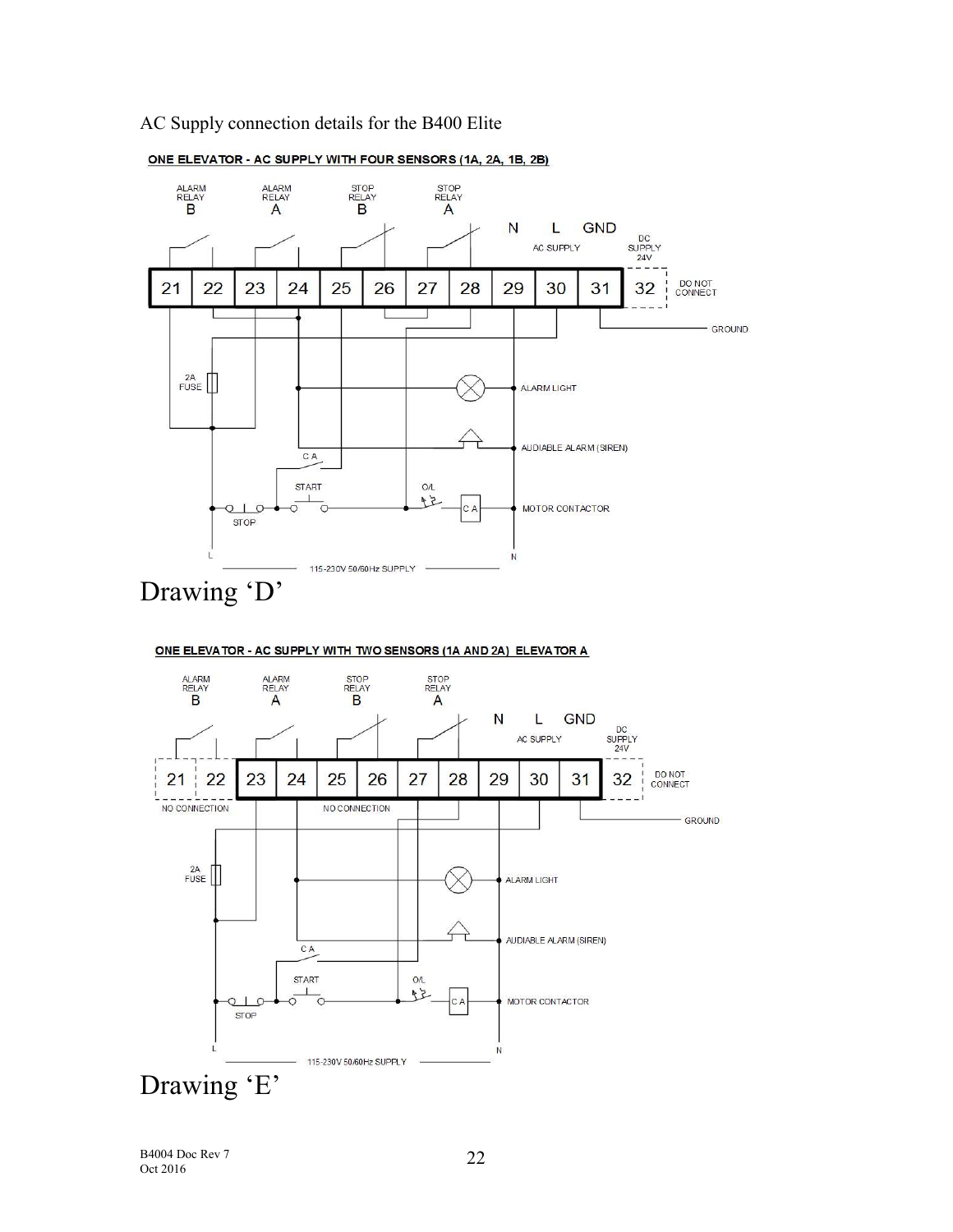### AC Supply connection details for the B400 Elite



### ONE ELEVATOR - AC SUPPLY WITH FOUR SENSORS (1A, 2A, 1B, 2B)

B4004 Doc Rev 7 Oct 2016

Drawing 'E'

**STOP** 

115-230V 50/60Hz SUPPLY

N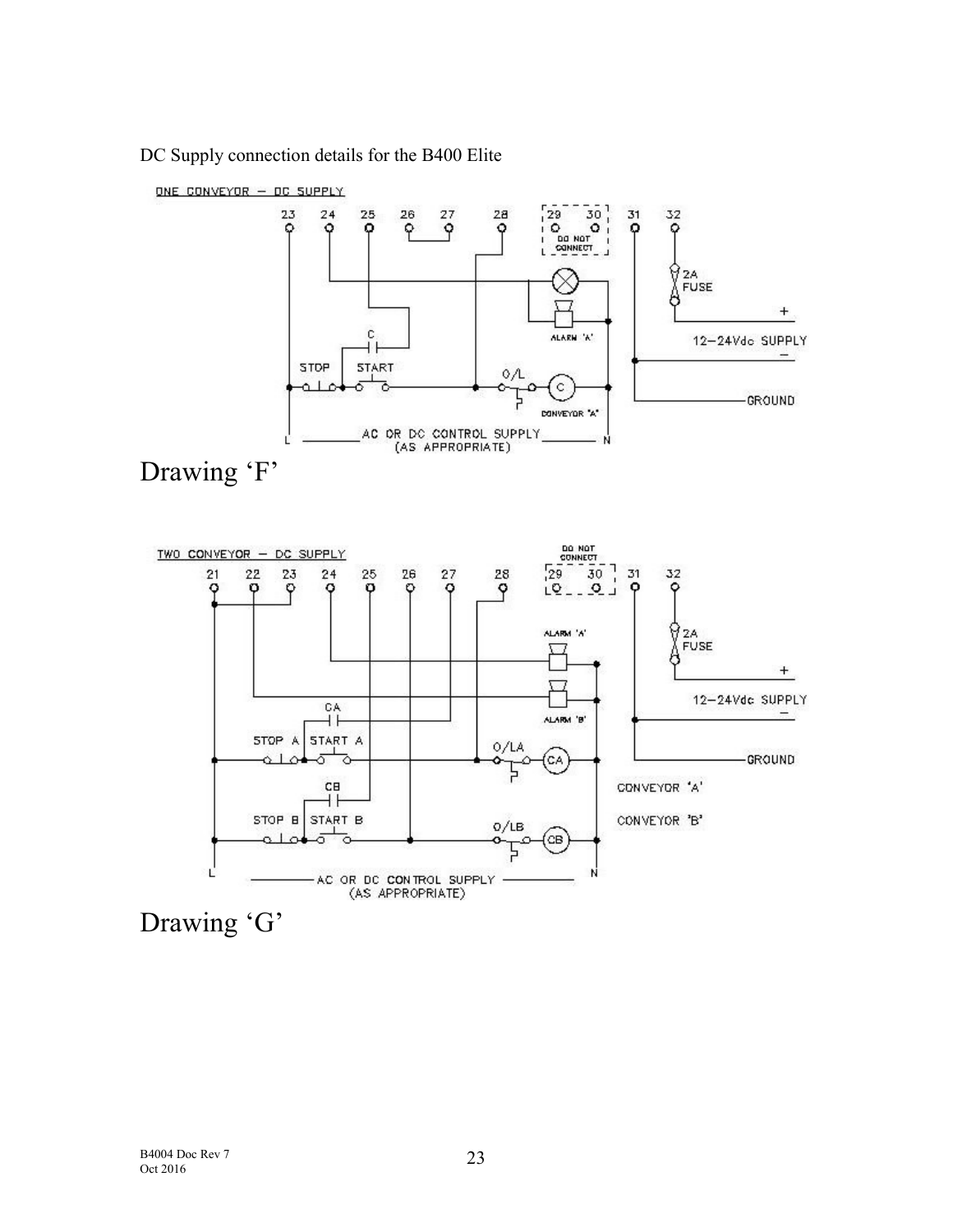DC Supply connection details for the B400 Elite

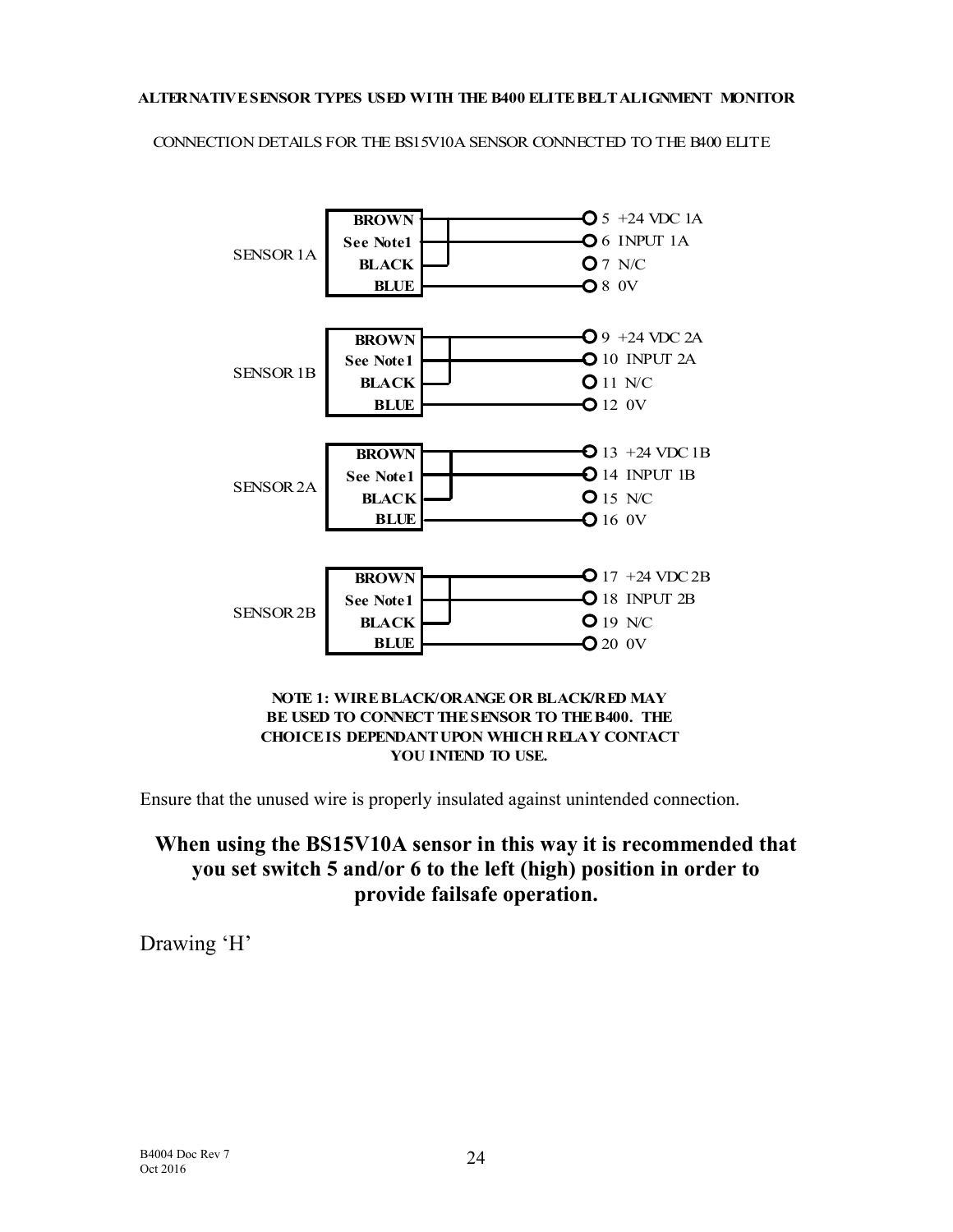# ALTERNATIVE SENSOR TYPES USED WITH THE B400 ELITE BELT ALIGNMENT MONITOR CONNECTION DETAILS FOR THE BS15V10A SENSOR CONNECTED TO THE B400 ELITE



### BE USED TO CONNECT THE SENSOR TO THE B400. THE CHOICE IS DEPENDANT UPON WHICH RELAY CONTACT YOU INTEND TO USE.

Ensure that the unused wire is properly insulated against unintended connection.

## When using the BS15V10A sensor in this way it is recommended that you set switch 5 and/or 6 to the left (high) position in order to provide failsafe operation.

Drawing 'H'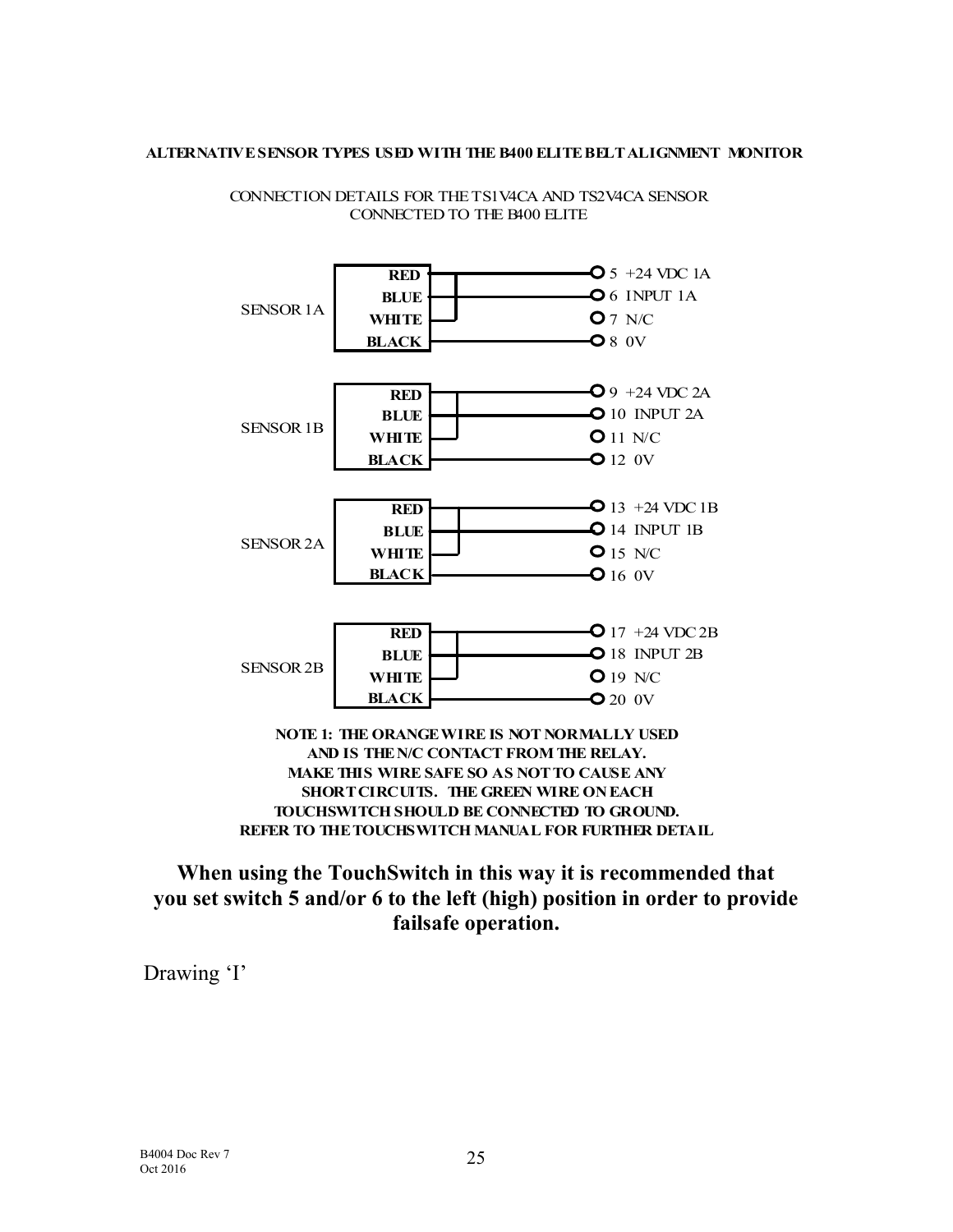

ALTERNATIVE SENSOR TYPES USED WITH THE B400 ELITE BELT ALIGNMENT MONITOR<br>CONNECTION DETAILS FOR THE TS1V4CA AND TS2V4CA SENSOR<br>CONNECTED TO THE B400 ELITE

When using the TouchSwitch in this way it is recommended that you set switch 5 and/or 6 to the left (high) position in order to provide failsafe operation.

Drawing 'I'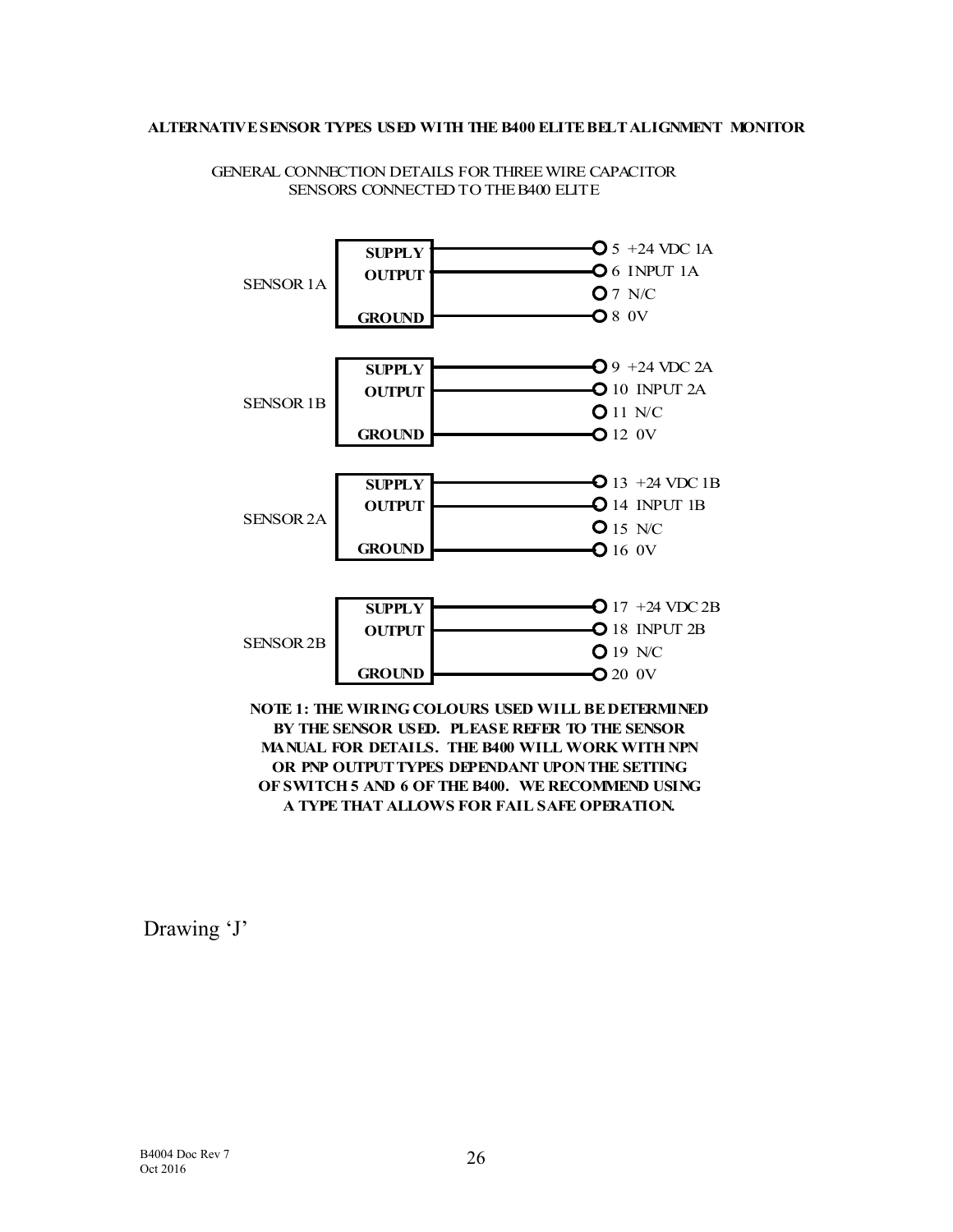

GENERAL CONNECTION DETAILS FOR THREE WIRE CAPACITOR SENSORS CONNECTED TO THE B400 ELITE ALTERNATIVE SENSOR TYPES USED WITH THE B400 ELITE BELT ALIGNMENT MONITOR<br>GENERAL CONNECTION DETAILS FOR THREE WIRE CAPACITOR<br>SENSORS CONNECTED TO THE B400 ELITE

> BY THE SENSOR USED. PLEASE REFER TO THE SENSOR A TYPE THAT ALLOWS FOR FAIL SAFE OPERATION.

Drawing 'J'